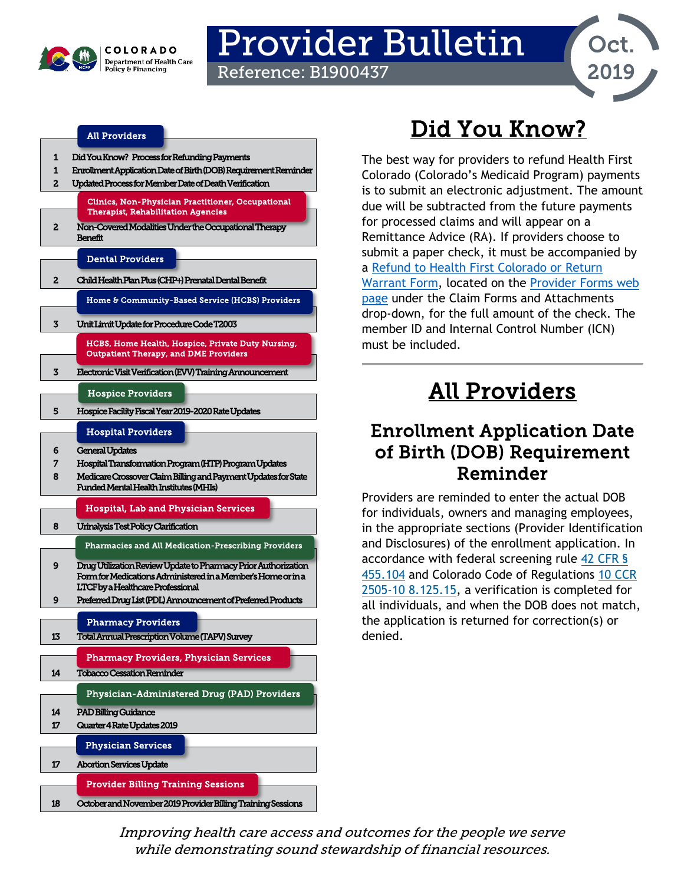

# Provider Bulletin

Reference: B1900437



#### [All Providers](#page-0-2)

| 1  | Did You Know? Process for Refunding Payments                                                      |
|----|---------------------------------------------------------------------------------------------------|
| 1  | Enrollment Application Date of Birth (DOB) Requirement Reminder                                   |
| 2  | Updated Process for Member Date of Death Verification                                             |
|    |                                                                                                   |
|    | <b>Clinics. Non-Physician Practitioner. Occupational</b>                                          |
|    | <b>Therapist, Rehabilitation Agencies</b>                                                         |
|    |                                                                                                   |
| 2  | Non-Covered Modalities Under the Occupational Therapy                                             |
|    | Benefit                                                                                           |
|    |                                                                                                   |
|    | <b>Dental Providers</b>                                                                           |
|    |                                                                                                   |
| 2  | Child Health Plan Plus (CHP+) Prenatal Dental Benefit                                             |
|    | Home & Community-Based Service (HCBS) Providers                                                   |
|    |                                                                                                   |
|    |                                                                                                   |
| 3  | Unit Limit Update for Procedure Code T2003                                                        |
|    |                                                                                                   |
|    | HCBS, Home Health, Hospice, Private Duty Nursing,<br><b>Outpatient Therapy, and DME Providers</b> |
|    |                                                                                                   |
| 3  | Electronic Visit Verification (EVV) Training Announcement                                         |
|    |                                                                                                   |
|    | <b>Hospice Providers</b>                                                                          |
|    |                                                                                                   |
| 5  | Hospice Facility Fiscal Year 2019-2020 Rate Updates                                               |
|    |                                                                                                   |
|    | <b>Hospital Providers</b>                                                                         |
| 6  |                                                                                                   |
|    | General Updates                                                                                   |
| 7  | Hospital Transformation Program (HTP) Program Updates                                             |
| 8  | Medicare Crossover Claim Billing and Payment Updates for State                                    |
|    |                                                                                                   |
|    | <b>Funded Mental Health Institutes (MHIs)</b>                                                     |
|    |                                                                                                   |
|    | Hospital, Lab and Physician Services                                                              |
|    |                                                                                                   |
| 8  | Urinalysis Test Policy Clarification                                                              |
|    | <b>Pharmacies and All Medication-Prescribing Providers</b>                                        |
|    |                                                                                                   |
| 9  | Drug Utilization Review Update to Pharmacy Prior Authorization                                    |
|    | Form for Medications Administered in a Member's Home or in a                                      |
|    | LTCF by a Healthcare Professional                                                                 |
| 9  | Preferred Drug List (PDL) Announcement of Preferred Products                                      |
|    |                                                                                                   |
|    |                                                                                                   |
|    | <b>Pharmacy Providers</b>                                                                         |
| 13 | Total Annual Prescription Volume (TAPV) Survey                                                    |
|    |                                                                                                   |
|    | <b>Pharmacy Providers, Physician Services</b>                                                     |
| 14 | <b>Tobacco Cessation Reminder</b>                                                                 |
|    |                                                                                                   |
|    | Physician-Administered Drug (PAD) Providers                                                       |
|    |                                                                                                   |
| 14 | <b>PAD Billing Guidance</b>                                                                       |
| 17 | Quarter 4 Rate Updates 2019                                                                       |
|    |                                                                                                   |
|    | <b>Physician Services</b>                                                                         |
|    |                                                                                                   |
| 17 | <b>Abortion Services Update</b>                                                                   |
|    | <b>Provider Billing Training Sessions</b>                                                         |
|    |                                                                                                   |

## Did You Know?

<span id="page-0-0"></span>The best way for providers to refund Health First Colorado (Colorado's Medicaid Program) payments is to submit an electronic adjustment. The amount due will be subtracted from the future payments for processed claims and will appear on a Remittance Advice (RA). If providers choose to submit a paper check, it must be accompanied by a [Refund to Health First Colorado or Return](https://www.colorado.gov/pacific/sites/default/files/Health%20First%20Colorado%20and%20Return%20Warrant%20Refund%20form%20.pdf)  [Warrant Form,](https://www.colorado.gov/pacific/sites/default/files/Health%20First%20Colorado%20and%20Return%20Warrant%20Refund%20form%20.pdf) located on the [Provider Forms web](https://www.colorado.gov/hcpf/provider-forms)  [page](https://www.colorado.gov/hcpf/provider-forms) under the Claim Forms and Attachments drop-down, for the full amount of the check. The member ID and Internal Control Number (ICN) must be included.

## All Providers

### <span id="page-0-2"></span><span id="page-0-1"></span>Enrollment Application Date of Birth (DOB) Requirement Reminder

Providers are reminded to enter the actual DOB for individuals, owners and managing employees, in the appropriate sections (Provider Identification and Disclosures) of the enrollment application. In accordance with federal screening rule [42 CFR §](https://www.govinfo.gov/content/pkg/CFR-2013-title42-vol4/pdf/CFR-2013-title42-vol4-sec455-104.pdf)  [455.104](https://www.govinfo.gov/content/pkg/CFR-2013-title42-vol4/pdf/CFR-2013-title42-vol4-sec455-104.pdf) and Colorado Code of Regulations [10 CCR](https://www.sos.state.co.us/CCR/GenerateRulePdf.do?ruleVersionId=6330&fileName=10%20CCR%202505-10%208.100)  [2505-10 8.125.15,](https://www.sos.state.co.us/CCR/GenerateRulePdf.do?ruleVersionId=6330&fileName=10%20CCR%202505-10%208.100) a verification is completed for all individuals, and when the DOB does not match, the application is returned for correction(s) or denied.

Improving health care access and outcomes for the people we serve while demonstrating sound stewardship of financial resources.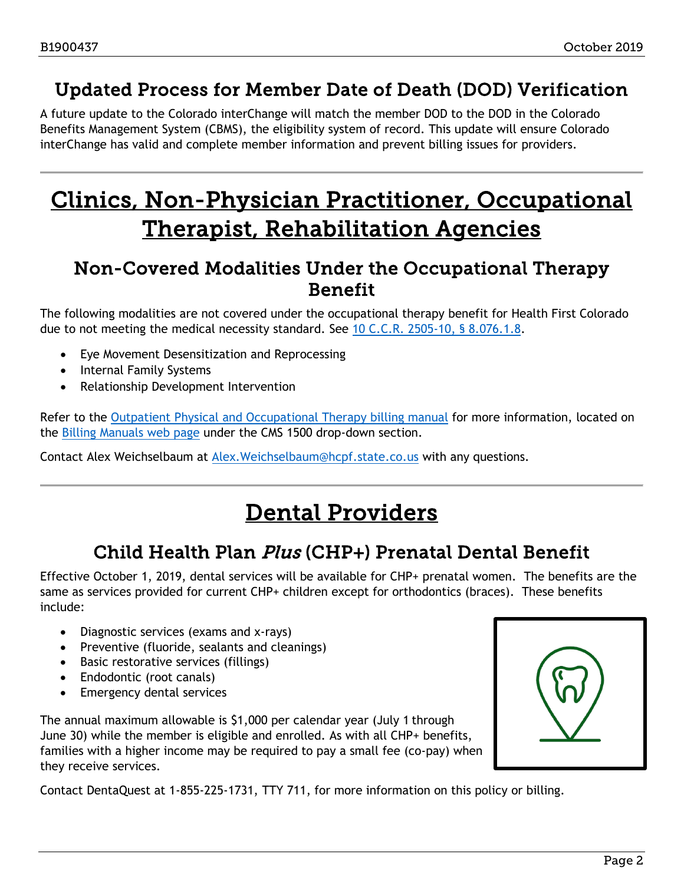### <span id="page-1-0"></span>Updated Process for Member Date of Death (DOD) Verification

A future update to the Colorado interChange will match the member DOD to the DOD in the Colorado Benefits Management System (CBMS), the eligibility system of record. This update will ensure Colorado interChange has valid and complete member information and prevent billing issues for providers.

## <span id="page-1-4"></span>Clinics, Non-Physician Practitioner, Occupational Therapist, Rehabilitation Agencies

### <span id="page-1-1"></span>Non-Covered Modalities Under the Occupational Therapy Benefit

The following modalities are not covered under the occupational therapy benefit for Health First Colorado due to not meeting the medical necessity standard. See [10 C.C.R. 2505-10, § 8.076.1.8.](https://www.colorado.gov/pacific/hcpf/department-program-rules-and-regulations)

- Eye Movement Desensitization and Reprocessing
- Internal Family Systems
- Relationship Development Intervention

Refer to the [Outpatient Physical and Occupational Therapy billing manual](https://www.colorado.gov/pacific/sites/default/files/CMS1500_PT_OT%20v1_11.pdf) for more information, located on the [Billing Manuals web page](https://www.colorado.gov/pacific/hcpf/billing-manuals) under the CMS 1500 drop-down section.

<span id="page-1-3"></span>Contact Alex Weichselbaum at [Alex.Weichselbaum@hcpf.state.co.us](mailto:Alex.Weichselbaum@hcpf.state.co.us) with any questions.

## Dental Providers

### Child Health Plan Plus (CHP+) Prenatal Dental Benefit

<span id="page-1-2"></span>Effective October 1, 2019, dental services will be available for CHP+ prenatal women. The benefits are the same as services provided for current CHP+ children except for orthodontics (braces). These benefits include:

- Diagnostic services (exams and x-rays)
- Preventive (fluoride, sealants and cleanings)
- Basic restorative services (fillings)
- Endodontic (root canals)
- Emergency dental services

The annual maximum allowable is \$1,000 per calendar year (July 1 through June 30) while the member is eligible and enrolled. As with all CHP+ benefits, families with a higher income may be required to pay a small fee (co-pay) when they receive services.



Contact DentaQuest at 1-855-225-1731, TTY 711, for more information on this policy or billing.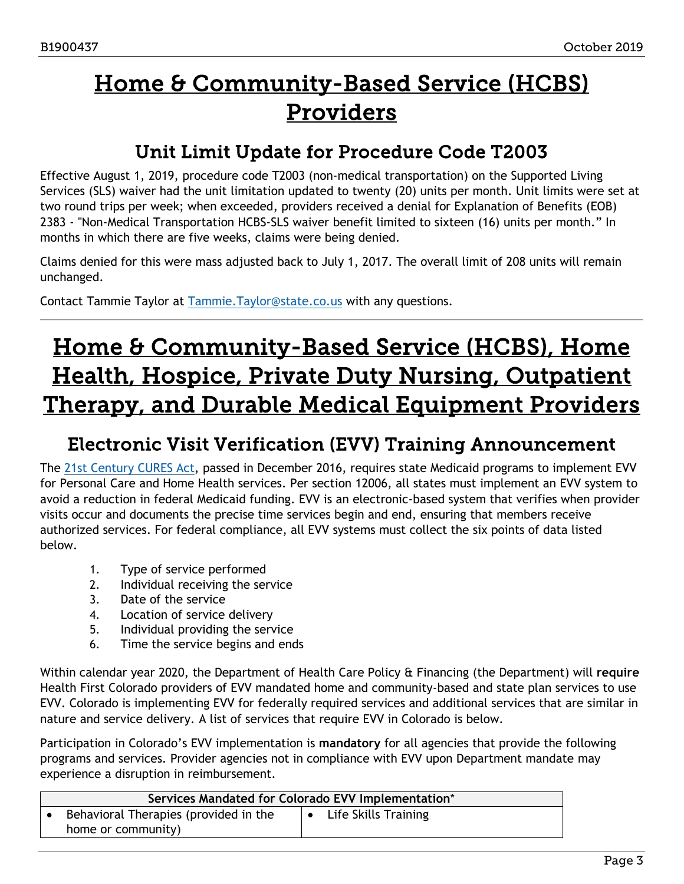## <span id="page-2-2"></span>Home & Community-Based Service (HCBS) Providers

### Unit Limit Update for Procedure Code T2003

<span id="page-2-0"></span>Effective August 1, 2019, procedure code T2003 (non-medical transportation) on the Supported Living Services (SLS) waiver had the unit limitation updated to twenty (20) units per month. Unit limits were set at two round trips per week; when exceeded, providers received a denial for Explanation of Benefits (EOB) 2383 - "Non-Medical Transportation HCBS-SLS waiver benefit limited to sixteen (16) units per month." In months in which there are five weeks, claims were being denied.

Claims denied for this were mass adjusted back to July 1, 2017. The overall limit of 208 units will remain unchanged.

Contact Tammie Taylor at [Tammie.Taylor@state.co.us](mailto:Tammie.Taylor@state.co.us) with any questions.

## <span id="page-2-3"></span>Home & Community-Based Service (HCBS), Home Health, Hospice, Private Duty Nursing, Outpatient Therapy, and Durable Medical Equipment Providers

### <span id="page-2-1"></span>Electronic Visit Verification (EVV) Training Announcement

The [21st Century CURES Act](https://docs.house.gov/billsthisweek/20161128/CPRT-114-HPRT-RU00-SAHR34.pdf)[,](http://r20.rs6.net/tn.jsp?f=001YuP509-5FPYQ4_Fohb8jKtLfiqS1evfqf5JsGLAJLPXYJ3pZbEHWfhFfw2VsYnkGy_YRPKRpbm_zroMAbH3x1EJX65nOzkyPGW9TjeUts4bDI4C3T3eVzozc7asJJIDVskRjQTNhnAUX6Ue3Rykg0tFfZZ1Z3WYGR20Y3BbgWcpgZ6neQ5Hv8TA3BWL8Fq6b_F-FBj1SHl-SLDEB0LG0LA==&c=3Yn0gB2G0RydD8GQNkhOE3NVZsyEn99ZKF37KVY8mYvXuq7164XZuA==&ch=H4apt0ljnhXjpuGSLSDXXLu02VMw7BXZ076FwD2-6gkBOdnh7IMglA==) passed in December 2016, requires state Medicaid programs to implement EVV for Personal Care and Home Health services. Per section 12006, all states must implement an EVV system to avoid a reduction in federal Medicaid funding. EVV is an electronic-based system that verifies when provider visits occur and documents the precise time services begin and end, ensuring that members receive authorized services. For federal compliance, all EVV systems must collect the six points of data listed below.

- 1. Type of service performed
- 2. Individual receiving the service
- 3. Date of the service
- 4. Location of service delivery
- 5. Individual providing the service
- 6. Time the service begins and ends

Within calendar year 2020, the Department of Health Care Policy & Financing (the Department) will **require**  Health First Colorado providers of EVV mandated home and community-based and state plan services to use EVV. Colorado is implementing EVV for federally required services and additional services that are similar in nature and service delivery. A list of services that require EVV in Colorado is below.

Participation in Colorado's EVV implementation is **mandatory** for all agencies that provide the following programs and services. Provider agencies not in compliance with EVV upon Department mandate may experience a disruption in reimbursement.

| Services Mandated for Colorado EVV Implementation*          |  |                      |  |
|-------------------------------------------------------------|--|----------------------|--|
| Behavioral Therapies (provided in the<br>home or community) |  | Life Skills Training |  |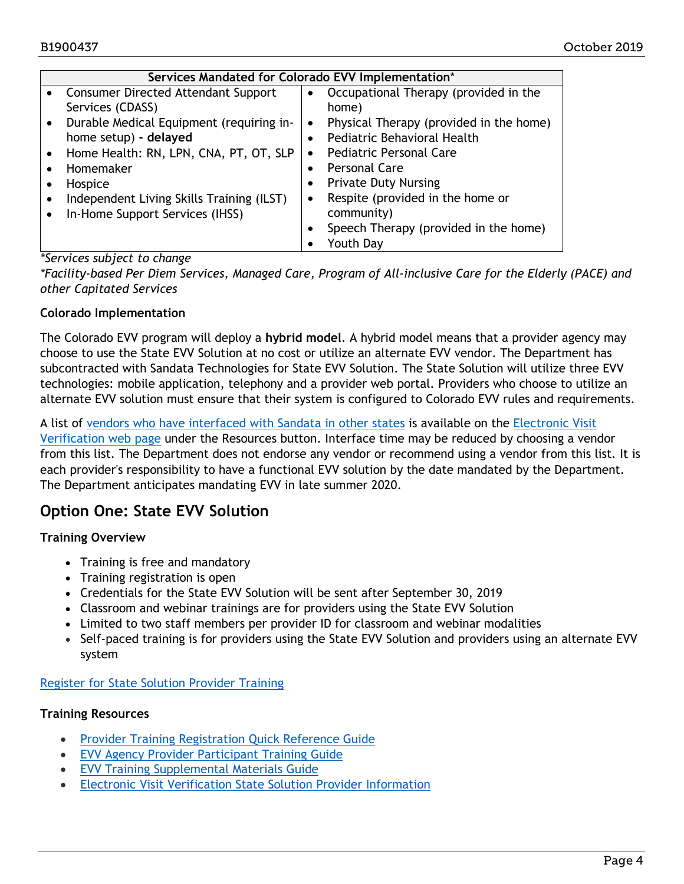|           | Services Mandated for Colorado EVV Implementation* |           |                                         |  |  |
|-----------|----------------------------------------------------|-----------|-----------------------------------------|--|--|
| $\bullet$ | <b>Consumer Directed Attendant Support</b>         |           | Occupational Therapy (provided in the   |  |  |
|           | Services (CDASS)                                   |           | home)                                   |  |  |
|           | Durable Medical Equipment (requiring in-           | $\bullet$ | Physical Therapy (provided in the home) |  |  |
|           | home setup) - delayed                              |           | Pediatric Behavioral Health             |  |  |
|           | Home Health: RN, LPN, CNA, PT, OT, SLP             | $\bullet$ | <b>Pediatric Personal Care</b>          |  |  |
|           | Homemaker                                          |           | Personal Care                           |  |  |
|           | Hospice                                            |           | <b>Private Duty Nursing</b>             |  |  |
|           | Independent Living Skills Training (ILST)          | ٠         | Respite (provided in the home or        |  |  |
| $\bullet$ | In-Home Support Services (IHSS)                    |           | community)                              |  |  |
|           |                                                    |           | Speech Therapy (provided in the home)   |  |  |
|           |                                                    |           | Youth Day                               |  |  |

#### *\*Services subject to change*

*\*Facility-based Per Diem Services, Managed Care, Program of All-inclusive Care for the Elderly (PACE) and other Capitated Services* 

#### **Colorado Implementation**

The Colorado EVV program will deploy a **hybrid model**. A hybrid model means that a provider agency may choose to use the State EVV Solution at no cost or utilize an alternate EVV vendor. The Department has subcontracted with Sandata Technologies for State EVV Solution. The State Solution will utilize three EVV technologies: mobile application, telephony and a provider web portal. Providers who choose to utilize an alternate EVV solution must ensure that their system is configured to Colorado EVV rules and requirements.

A list of [vendors who have interfaced with Sandata in other states](https://www.colorado.gov/pacific/sites/default/files/Electronic%20Visit%20Verification-Vendor%20List-September%202019.pdf) is available on the [Electronic Visit](https://www.colorado.gov/hcpf/evv)  [Verification web page](https://www.colorado.gov/hcpf/evv) [u](http://r20.rs6.net/tn.jsp?f=001YuP509-5FPYQ4_Fohb8jKtLfiqS1evfqf5JsGLAJLPXYJ3pZbEHWfhFfw2VsYnkGAefoWKBn_sgsPrFn7IqBCA7ZKa-dkL-3a6cw7p9y0Z7-M6HxgtatIOEE3FY1XE9g8d5iBIuQadiz0gTPN3gjR-hXSCPmpbr2&c=3Yn0gB2G0RydD8GQNkhOE3NVZsyEn99ZKF37KVY8mYvXuq7164XZuA==&ch=H4apt0ljnhXjpuGSLSDXXLu02VMw7BXZ076FwD2-6gkBOdnh7IMglA==)nder the Resources button. Interface time may be reduced by choosing a vendor from this list. The Department does not endorse any vendor or recommend using a vendor from this list. It is each provider's responsibility to have a functional EVV solution by the date mandated by the Department. The Department anticipates mandating EVV in late summer 2020.

#### **Option One: State EVV Solution**

#### **Training Overview**

- Training is free and mandatory
- Training registration is open
- Credentials for the State EVV Solution will be sent after September 30, 2019
- Classroom and webinar trainings are for providers using the State EVV Solution
- Limited to two staff members per provider ID for classroom and webinar modalities
- Self-paced training is for providers using the State EVV Solution and providers using an alternate EVV system

#### [Register for State Solution Provider Training](https://www.sandatalearn.com/?KeyName=coevvprovider)

#### **Training Resources**

- [Provider Training Registration Quick Reference Guide](https://www.colorado.gov/pacific/sites/default/files/CO%20EVV%20Agency%20Provider%20Training%20Registration%20Quick%20Reference%20Guide-July%202019.pdf)
- [EVV Agency Provider Participant Training Guide](https://www.colorado.gov/pacific/sites/default/files/Colorado%20Standard%20Sandata%20EVV%20Agency%20Provider_Participant%20Training%20Guide_w%20Scheduling%20Master_08.13.2019.pdf)
- [EVV Training Supplemental Materials Guide](https://www.colorado.gov/pacific/sites/default/files/Colorado%20Sandata%20EVV%20Training%20Supplemental%20Materials%20Guide_08.13.2019.pdf)
- [Electronic Visit Verification State Solution Provider Information](https://www.colorado.gov/hcpf/electronic-visit-verification-state-solution-provider-information)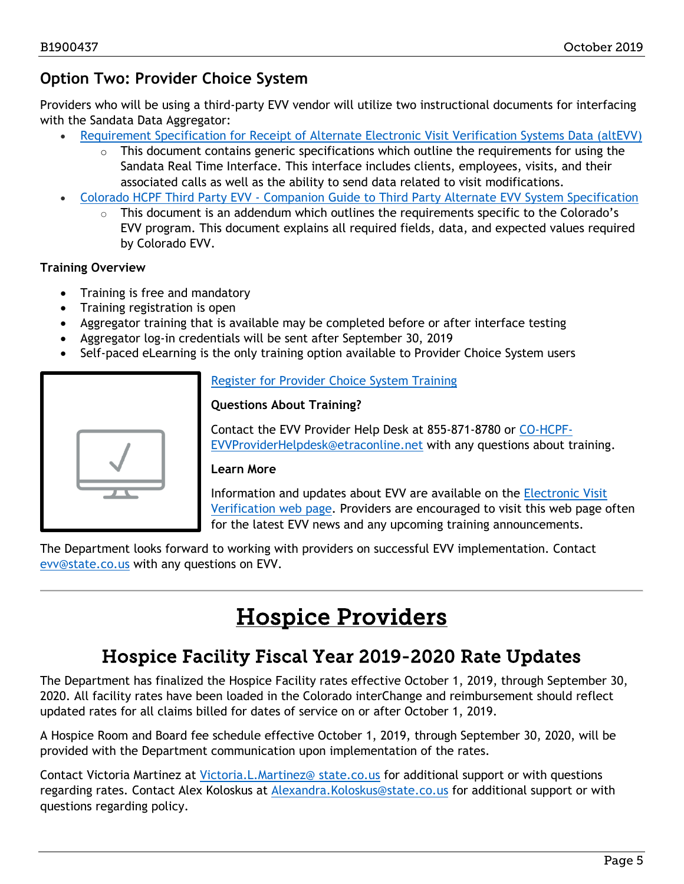### **Option Two: Provider Choice System**

Providers who will be using a third-party EVV vendor will utilize two instructional documents for interfacing with the Sandata Data Aggregator:

- [Requirement Specification for Receipt of Alternate Electronic Visit Verification Systems Data \(altEVV\)](https://www.colorado.gov/pacific/sites/default/files/OpenEVV-altEVV%20-%20v7.1%20FINAL_June2019.pdf)
	- This document contains generic specifications which outline the requirements for using the Sandata Real Time Interface. This interface includes clients, employees, visits, and their associated calls as well as the ability to send data related to visit modifications.
- Colorado HCPF Third Party EVV Companion [Guide to Third Party Alternate EVV System Specification](https://www.colorado.gov/pacific/sites/default/files/Addendum_altEVV%20Colorado%20v1.4_June2019.pdf)
	- $\circ$  This document is an addendum which outlines the requirements specific to the Colorado's EVV program. This document explains all required fields, data, and expected values required by Colorado EVV.

#### **Training Overview**

- Training is free and mandatory
- Training registration is open
- Aggregator training that is available may be completed before or after interface testing
- Aggregator log-in credentials will be sent after September 30, 2019
- Self-paced eLearning is the only training option available to Provider Choice System users

[Register for Provider Choice System Training](http://www.sandatalearn.com/?KeyName=COaltevv)

#### **Questions About Training?**

Contact the EVV Provider Help Desk at 855-871-8780 or [CO-HCPF-](mailto:CO-HCPF-EVVProviderHelpdesk@etraconline.net)[EVVProviderHelpdesk@etraconline.net](mailto:CO-HCPF-EVVProviderHelpdesk@etraconline.net) with any questions about training.

#### **Learn More**

Information and updates about EVV are available on th[e](http://r20.rs6.net/tn.jsp?f=001YuP509-5FPYQ4_Fohb8jKtLfiqS1evfqf5JsGLAJLPXYJ3pZbEHWfhFfw2VsYnkGAefoWKBn_sgsPrFn7IqBCA7ZKa-dkL-3a6cw7p9y0Z7-M6HxgtatIOEE3FY1XE9g8d5iBIuQadiz0gTPN3gjR-hXSCPmpbr2&c=3Yn0gB2G0RydD8GQNkhOE3NVZsyEn99ZKF37KVY8mYvXuq7164XZuA==&ch=H4apt0ljnhXjpuGSLSDXXLu02VMw7BXZ076FwD2-6gkBOdnh7IMglA==) [Electronic Visit](https://www.colorado.gov/hcpf/evv)  [Verification web page](https://www.colorado.gov/hcpf/evv)[.](http://r20.rs6.net/tn.jsp?f=001YuP509-5FPYQ4_Fohb8jKtLfiqS1evfqf5JsGLAJLPXYJ3pZbEHWfhFfw2VsYnkGAefoWKBn_sgsPrFn7IqBCA7ZKa-dkL-3a6cw7p9y0Z7-M6HxgtatIOEE3FY1XE9g8d5iBIuQadiz0gTPN3gjR-hXSCPmpbr2&c=3Yn0gB2G0RydD8GQNkhOE3NVZsyEn99ZKF37KVY8mYvXuq7164XZuA==&ch=H4apt0ljnhXjpuGSLSDXXLu02VMw7BXZ076FwD2-6gkBOdnh7IMglA==) Providers are encouraged to visit this web page often for the latest EVV news and any upcoming training announcements.

<span id="page-4-1"></span>The Department looks forward to working with providers on successful EVV implementation. Contact [evv@state.co.us](mailto:evv@state.co.us) with any questions on EVV.

## Hospice Providers

### Hospice Facility Fiscal Year 2019-2020 Rate Updates

<span id="page-4-0"></span>The Department has finalized the Hospice Facility rates effective October 1, 2019, through September 30, 2020. All facility rates have been loaded in the Colorado interChange and reimbursement should reflect updated rates for all claims billed for dates of service on or after October 1, 2019.

A Hospice Room and Board fee schedule effective October 1, 2019, through September 30, 2020, will be provided with the Department communication upon implementation of the rates.

Contact Victoria Martinez at [Victoria.L.Martinez@](mailto:Victoria.L.Martinez@hcpf.state.co.us) state.co.us for additional support or with questions regarding rates. Contact Alex Koloskus at [Alexandra.Koloskus@state.co.us](mailto:Alexandra.Koloskus@state.co.us) for additional support or with questions regarding policy.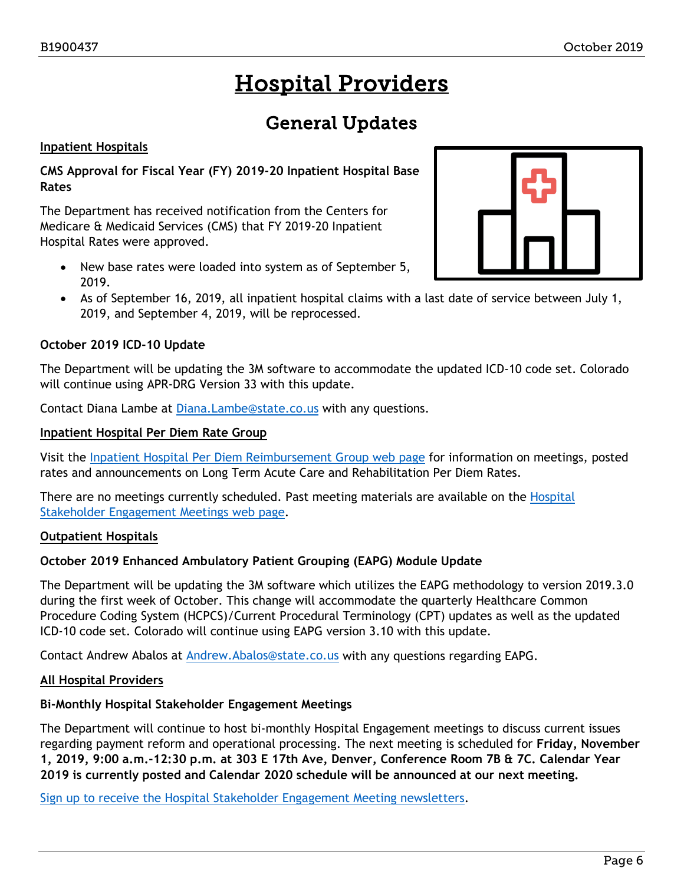## Hospital Providers

### General Updates

#### <span id="page-5-1"></span><span id="page-5-0"></span>**Inpatient Hospitals**

**CMS Approval for Fiscal Year (FY) 2019-20 Inpatient Hospital Base Rates**

The Department has received notification from the Centers for Medicare & Medicaid Services (CMS) that FY 2019-20 Inpatient Hospital Rates were approved.

- New base rates were loaded into system as of September 5, 2019.
- As of September 16, 2019, all inpatient hospital claims with a last date of service between July 1, 2019, and September 4, 2019, will be reprocessed.

#### **October 2019 ICD-10 Update**

The Department will be updating the 3M software to accommodate the updated ICD-10 code set. Colorado will continue using APR-DRG Version 33 with this update.

Contact Diana Lambe at [Diana.Lambe@state.co.us](mailto:Diana.Lambe@state.co.us) with any questions.

#### **Inpatient Hospital Per Diem Rate Group**

Visit the [Inpatient Hospital Per Diem Reimbursement Group web page](https://www.colorado.gov/pacific/hcpf/inpatient-hospital-diem-reimbursement-group) for information on meetings, posted rates and announcements on Long Term Acute Care and Rehabilitation Per Diem Rates.

There are no meetings currently scheduled. Past meeting materials are available on the Hospital [Stakeholder Engagement Meetings web page.](https://www.colorado.gov/pacific/hcpf/hospital-stakeholder-engagement-meetings)

#### **Outpatient Hospitals**

#### **October 2019 Enhanced Ambulatory Patient Grouping (EAPG) Module Update**

The Department will be updating the 3M software which utilizes the EAPG methodology to version 2019.3.0 during the first week of October. This change will accommodate the quarterly Healthcare Common Procedure Coding System (HCPCS)/Current Procedural Terminology (CPT) updates as well as the updated ICD-10 code set. Colorado will continue using EAPG version 3.10 with this update.

Contact Andrew Abalos at [Andrew.Abalos@state.co.us](mailto:Andrew.Abalos@state.co.us) with any questions regarding EAPG.

#### **All Hospital Providers**

#### **Bi-Monthly Hospital Stakeholder Engagement Meetings**

The Department will continue to host bi-monthly Hospital Engagement meetings to discuss current issues regarding payment reform and operational processing. The next meeting is scheduled for **Friday, November 1, 2019, 9:00 a.m.-12:30 p.m. at 303 E 17th Ave, Denver, Conference Room 7B & 7C. Calendar Year 2019 is currently posted and Calendar 2020 schedule will be announced at our next meeting.**

[Sign up to receive the Hospital Stakeholder Engagement Meeting newsletters.](https://visitor.r20.constantcontact.com/manage/optin?v=001HfxrbpGNWZ0lZnPp6t3PG2s9XPNl8ZvgFdjsKvSnhIy8z9JmHyp6DeoLJ3saT6x0SeqRR1ub149uoXxe1ok4jTzfMSQ0BN7S5vcLiRO7gdY%3D)

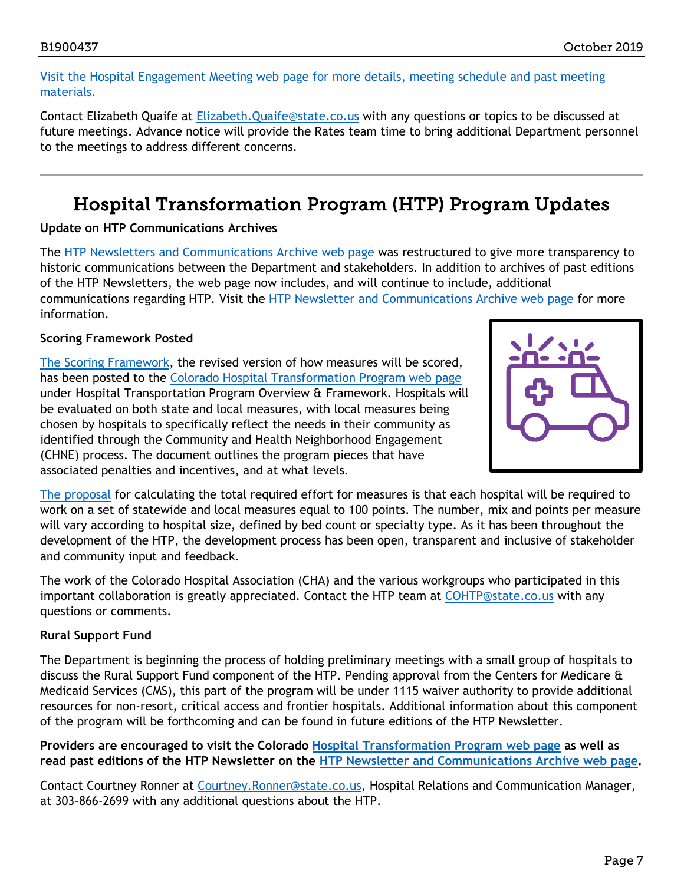#### [Visit the Hospital Engagement Meeting web page for more details, meeting schedule and past meeting](https://www.colorado.gov/pacific/hcpf/hospital-stakeholder-engagement-meetings)  [materials.](https://www.colorado.gov/pacific/hcpf/hospital-stakeholder-engagement-meetings)

Contact Elizabeth Quaife at [Elizabeth.Quaife@state.co.us](mailto:Elizabeth.Quaife@state.co.us) with any questions or topics to be discussed at future meetings. Advance notice will provide the Rates team time to bring additional Department personnel to the meetings to address different concerns.

### Hospital Transformation Program (HTP) Program Updates

#### <span id="page-6-0"></span>**Update on HTP Communications Archives**

The [HTP Newsletters and Communications Archive web page](https://www.colorado.gov/pacific/hcpf/htp-newsletter-archive) was restructured to give more transparency to historic communications between the Department and stakeholders. In addition to archives of past editions of the HTP Newsletters, the web page now includes, and will continue to include, additional communications regarding HTP. Visit the [HTP Newsletter and Communications Archive web page](https://www.colorado.gov/pacific/hcpf/htp-newsletter-archive) for more information.

#### **Scoring Framework Posted**

[The Scoring Framework,](https://www.colorado.gov/pacific/sites/default/files/2019%20August%20Scoring%20Framework_0.pdf) the revised version of how measures will be scored, has been posted to the [Colorado Hospital Transformation Program web page](https://www.colorado.gov/pacific/hcpf/colorado-hospital-transformation-program) under Hospital Transportation Program Overview & Framework. Hospitals will be evaluated on both state and local measures, with local measures being chosen by hospitals to specifically reflect the needs in their community as identified through the Community and Health Neighborhood Engagement (CHNE) process. The document outlines the program pieces that have associated penalties and incentives, and at what levels.



[The proposal](https://www.colorado.gov/pacific/sites/default/files/2019%20August%20Scoring%20Framework_0.pdf) for calculating the total required effort for measures is that each hospital will be required to work on a set of statewide and local measures equal to 100 points. The number, mix and points per measure will vary according to hospital size, defined by bed count or specialty type. As it has been throughout the development of the HTP, the development process has been open, transparent and inclusive of stakeholder and community input and feedback.

The work of the Colorado Hospital Association (CHA) and the various workgroups who participated in this important collaboration is greatly appreciated. Contact the HTP team at [COHTP@state.co.us](mailto:COHTP@state.co.us) with any questions or comments.

#### **Rural Support Fund**

The Department is beginning the process of holding preliminary meetings with a small group of hospitals to discuss the Rural Support Fund component of the HTP. Pending approval from the Centers for Medicare & Medicaid Services (CMS), this part of the program will be under 1115 waiver authority to provide additional resources for non-resort, critical access and frontier hospitals. Additional information about this component of the program will be forthcoming and can be found in future editions of the HTP Newsletter.

#### **Providers are encouraged to visit the Colorado [Hospital Transformation Program web page](https://www.colorado.gov/pacific/hcpf/colorado-hospital-transformation-program) as well as read past editions of the HTP Newsletter on the [HTP Newsletter and Communications Archive web page.](https://www.colorado.gov/pacific/hcpf/htp-newsletter-archive)**

Contact Courtney Ronner at [Courtney.Ronner@state.co.us,](mailto:Courtney.Ronner@state.co.us) Hospital Relations and Communication Manager, at 303-866-2699 with any additional questions about the HTP.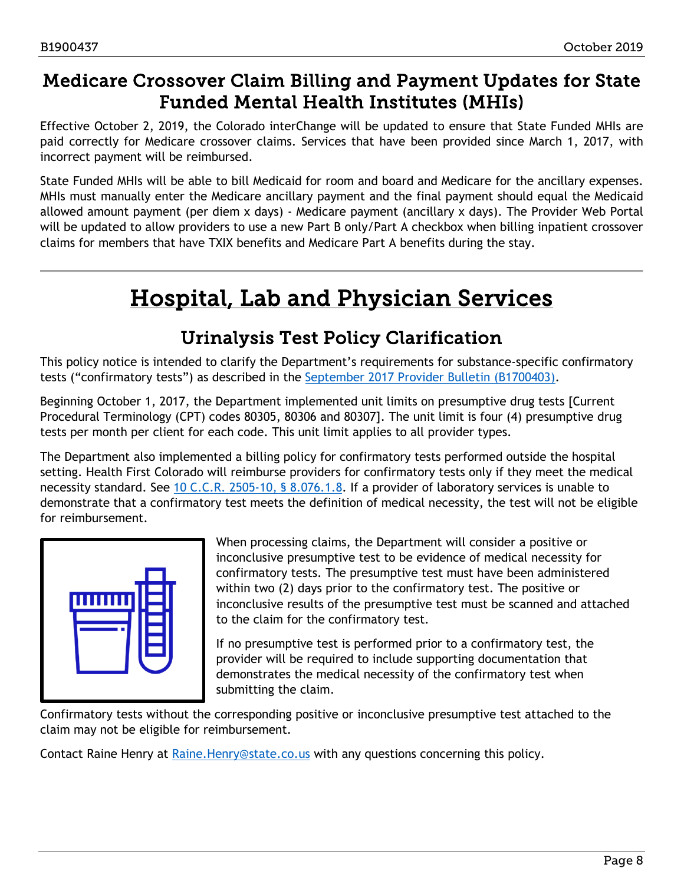### <span id="page-7-0"></span>Medicare Crossover Claim Billing and Payment Updates for State Funded Mental Health Institutes (MHIs)

Effective October 2, 2019, the Colorado interChange will be updated to ensure that State Funded MHIs are paid correctly for Medicare crossover claims. Services that have been provided since March 1, 2017, with incorrect payment will be reimbursed.

State Funded MHIs will be able to bill Medicaid for room and board and Medicare for the ancillary expenses. MHIs must manually enter the Medicare ancillary payment and the final payment should equal the Medicaid allowed amount payment (per diem x days) - Medicare payment (ancillary x days). The Provider Web Portal will be updated to allow providers to use a new Part B only/Part A checkbox when billing inpatient crossover claims for members that have TXIX benefits and Medicare Part A benefits during the stay.

## Hospital, Lab and Physician Services

### Urinalysis Test Policy Clarification

<span id="page-7-2"></span><span id="page-7-1"></span>This policy notice is intended to clarify the Department's requirements for substance-specific confirmatory tests ("confirmatory tests") as described in the [September 2017 Provider Bulletin \(B1700403\).](https://www.colorado.gov/pacific/sites/default/files/Bulletin_0917_B1700403.pdf)

Beginning October 1, 2017, the Department implemented unit limits on presumptive drug tests [Current Procedural Terminology (CPT) codes 80305, 80306 and 80307]. The unit limit is four (4) presumptive drug tests per month per client for each code. This unit limit applies to all provider types.

The Department also implemented a billing policy for confirmatory tests performed outside the hospital setting. Health First Colorado will reimburse providers for confirmatory tests only if they meet the medical necessity standard. See 10 [C.C.R. 2505-10, §](https://www.sos.state.co.us/CCR/GenerateRulePdf.do?ruleVersionId=6149&fileName=10%20CCR%202505-10%208.200) 8.076.1.8. If a provider of laboratory services is unable to demonstrate that a confirmatory test meets the definition of medical necessity, the test will not be eligible for reimbursement.



When processing claims, the Department will consider a positive or inconclusive presumptive test to be evidence of medical necessity for confirmatory tests. The presumptive test must have been administered within two (2) days prior to the confirmatory test. The positive or inconclusive results of the presumptive test must be scanned and attached to the claim for the confirmatory test.

If no presumptive test is performed prior to a confirmatory test, the provider will be required to include supporting documentation that demonstrates the medical necessity of the confirmatory test when submitting the claim.

Confirmatory tests without the corresponding positive or inconclusive presumptive test attached to the claim may not be eligible for reimbursement.

Contact Raine Henry at Raine. Henry@state.co.us with any questions concerning this policy.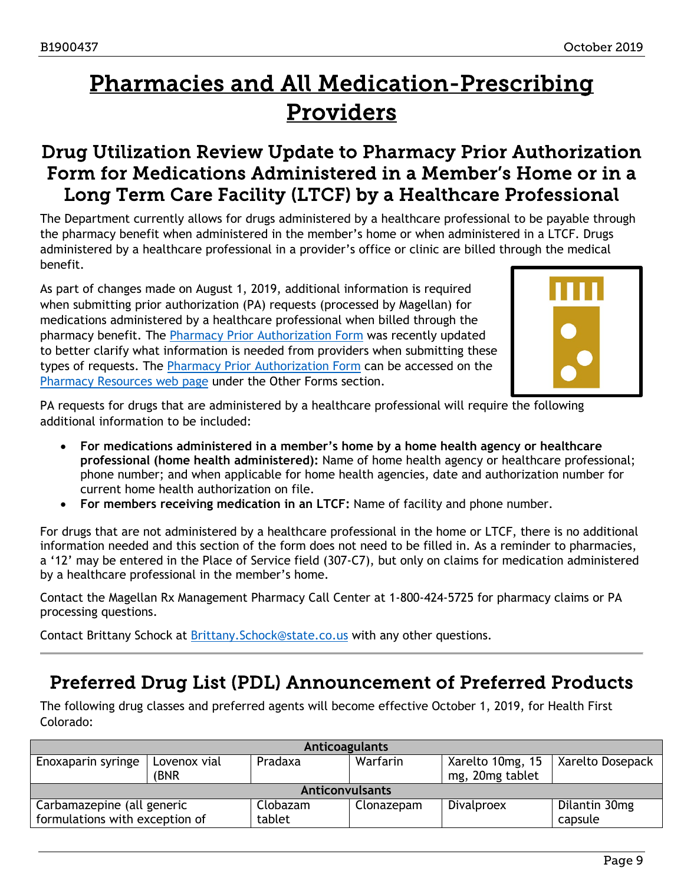## <span id="page-8-2"></span>Pharmacies and All Medication-Prescribing Providers

### <span id="page-8-0"></span>Drug Utilization Review Update to Pharmacy Prior Authorization Form for Medications Administered in a Member's Home or in a Long Term Care Facility (LTCF) by a Healthcare Professional

The Department currently allows for drugs administered by a healthcare professional to be payable through the pharmacy benefit when administered in the member's home or when administered in a LTCF. Drugs administered by a healthcare professional in a provider's office or clinic are billed through the medical benefit.

As part of changes made on August 1, 2019, additional information is required when submitting prior authorization (PA) requests (processed by Magellan) for medications administered by a healthcare professional when billed through the pharmacy benefit. The [Pharmacy Prior Authorization Form](https://www.colorado.gov/pacific/sites/default/files/CO_Prior_Authorization_Form%2006%202019.pdf) was recently updated to better clarify what information is needed from providers when submitting these typ[e](https://www.colorado.gov/hcpf/pharmacy-resources)s of requests. The **Pharmacy Prior Authorization Form can be accessed on the** [Pharmacy Resources web page](https://www.colorado.gov/hcpf/pharmacy-resources) under the Other Forms section.



PA requests for drugs that are administered by a healthcare professional will require the following additional information to be included:

- **For medications administered in a member's home by a home health agency or healthcare professional (home health administered):** Name of home health agency or healthcare professional; phone number; and when applicable for home health agencies, date and authorization number for current home health authorization on file.
- **For members receiving medication in an LTCF:** Name of facility and phone number.

For drugs that are not administered by a healthcare professional in the home or LTCF, there is no additional information needed and this section of the form does not need to be filled in. As a reminder to pharmacies, a '12' may be entered in the Place of Service field (307-C7), but only on claims for medication administered by a healthcare professional in the member's home.

Contact the Magellan Rx Management Pharmacy Call Center at 1-800-424-5725 for pharmacy claims or PA processing questions.

Contact Brittany Schock at [Brittany.Schock@state.co.us](mailto:Brittany.Schock@state.co.us) with any other questions.

### <span id="page-8-1"></span>Preferred Drug List (PDL) Announcement of Preferred Products

The following drug classes and preferred agents will become effective October 1, 2019, for Health First Colorado:

| <b>Anticoagulants</b>          |              |          |            |                  |                  |
|--------------------------------|--------------|----------|------------|------------------|------------------|
| Enoxaparin syringe             | Lovenox vial | Pradaxa  | Warfarin   | Xarelto 10mg, 15 | Xarelto Dosepack |
|                                | (BNR         |          |            | mg, 20mg tablet  |                  |
| <b>Anticonvulsants</b>         |              |          |            |                  |                  |
| Carbamazepine (all generic     |              | Clobazam | Clonazepam | Divalproex       | Dilantin 30mg    |
| formulations with exception of |              | tablet   |            |                  | capsule          |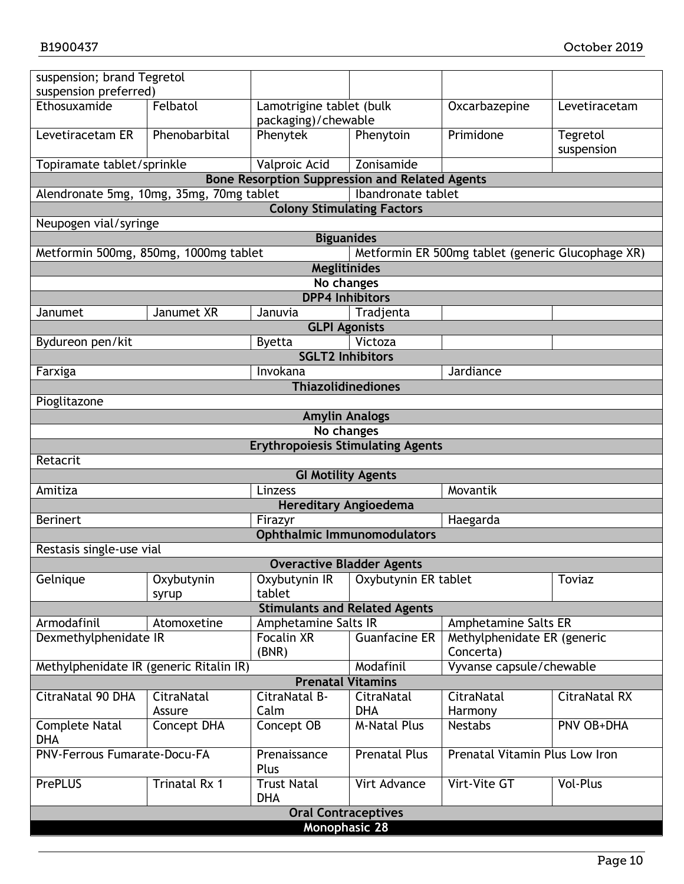| suspension; brand Tegretol<br>suspension preferred) |                                |                                                        |                      |                                                   |                        |  |
|-----------------------------------------------------|--------------------------------|--------------------------------------------------------|----------------------|---------------------------------------------------|------------------------|--|
| Ethosuxamide                                        | Felbatol                       | Lamotrigine tablet (bulk                               |                      | Oxcarbazepine                                     | Levetiracetam          |  |
|                                                     |                                | packaging)/chewable                                    |                      |                                                   |                        |  |
| Levetiracetam ER                                    | Phenobarbital                  | Phenytek                                               | Phenytoin            | Primidone                                         | Tegretol<br>suspension |  |
| Topiramate tablet/sprinkle                          |                                | Valproic Acid                                          | Zonisamide           |                                                   |                        |  |
|                                                     |                                | <b>Bone Resorption Suppression and Related Agents</b>  |                      |                                                   |                        |  |
| Alendronate 5mg, 10mg, 35mg, 70mg tablet            |                                |                                                        | Ibandronate tablet   |                                                   |                        |  |
|                                                     |                                | <b>Colony Stimulating Factors</b>                      |                      |                                                   |                        |  |
| Neupogen vial/syringe                               |                                |                                                        |                      |                                                   |                        |  |
|                                                     |                                | <b>Biguanides</b>                                      |                      |                                                   |                        |  |
| Metformin 500mg, 850mg, 1000mg tablet               |                                |                                                        |                      | Metformin ER 500mg tablet (generic Glucophage XR) |                        |  |
|                                                     |                                | <b>Meglitinides</b>                                    |                      |                                                   |                        |  |
|                                                     |                                | No changes                                             |                      |                                                   |                        |  |
|                                                     |                                | <b>DPP4 Inhibitors</b>                                 |                      |                                                   |                        |  |
| Janumet                                             | Janumet XR                     | Januvia                                                | Tradjenta            |                                                   |                        |  |
|                                                     |                                | <b>GLPI Agonists</b>                                   |                      |                                                   |                        |  |
| Bydureon pen/kit                                    |                                | <b>Byetta</b>                                          | Victoza              |                                                   |                        |  |
|                                                     |                                | <b>SGLT2 Inhibitors</b>                                |                      |                                                   |                        |  |
| Farxiga                                             |                                | Invokana                                               |                      | Jardiance                                         |                        |  |
|                                                     |                                | <b>Thiazolidinediones</b>                              |                      |                                                   |                        |  |
| Pioglitazone                                        |                                |                                                        |                      |                                                   |                        |  |
|                                                     |                                | <b>Amylin Analogs</b>                                  |                      |                                                   |                        |  |
|                                                     |                                | No changes<br><b>Erythropoiesis Stimulating Agents</b> |                      |                                                   |                        |  |
| Retacrit                                            |                                |                                                        |                      |                                                   |                        |  |
|                                                     |                                | <b>GI Motility Agents</b>                              |                      |                                                   |                        |  |
|                                                     | Movantik<br>Amitiza<br>Linzess |                                                        |                      |                                                   |                        |  |
| <b>Hereditary Angioedema</b>                        |                                |                                                        |                      |                                                   |                        |  |
| <b>Berinert</b>                                     |                                | Firazyr                                                |                      | Haegarda                                          |                        |  |
|                                                     |                                | <b>Ophthalmic Immunomodulators</b>                     |                      |                                                   |                        |  |
| Restasis single-use vial                            |                                |                                                        |                      |                                                   |                        |  |
|                                                     |                                | <b>Overactive Bladder Agents</b>                       |                      |                                                   |                        |  |
| Gelnique                                            | Oxybutynin                     | Oxybutynin IR                                          | Oxybutynin ER tablet |                                                   | <b>Toviaz</b>          |  |
|                                                     | syrup                          | tablet                                                 |                      |                                                   |                        |  |
|                                                     |                                | <b>Stimulants and Related Agents</b>                   |                      |                                                   |                        |  |
| Armodafinil                                         | Atomoxetine                    | Amphetamine Salts IR                                   |                      | Amphetamine Salts ER                              |                        |  |
| Dexmethylphenidate IR                               |                                | Focalin XR                                             | <b>Guanfacine ER</b> | Methylphenidate ER (generic                       |                        |  |
|                                                     |                                | (BNR)                                                  |                      | Concerta)                                         |                        |  |
| Methylphenidate IR (generic Ritalin IR)             |                                | Modafinil                                              |                      | Vyvanse capsule/chewable                          |                        |  |
| <b>Prenatal Vitamins</b>                            |                                |                                                        |                      |                                                   |                        |  |
| CitraNatal 90 DHA                                   | CitraNatal                     | CitraNatal B-                                          | CitraNatal           | CitraNatal                                        | <b>CitraNatal RX</b>   |  |
|                                                     | Assure                         | Calm                                                   | <b>DHA</b>           | Harmony                                           |                        |  |
| <b>Complete Natal</b><br><b>DHA</b>                 | Concept DHA                    | Concept OB                                             | <b>M-Natal Plus</b>  | <b>Nestabs</b>                                    | PNV OB+DHA             |  |
| <b>PNV-Ferrous Fumarate-Docu-FA</b>                 |                                | Prenaissance<br>Plus                                   | <b>Prenatal Plus</b> | Prenatal Vitamin Plus Low Iron                    |                        |  |
| <b>PrePLUS</b>                                      | Trinatal Rx 1                  | <b>Trust Natal</b><br><b>DHA</b>                       | Virt Advance         | Virt-Vite GT                                      | Vol-Plus               |  |
|                                                     |                                | <b>Oral Contraceptives</b>                             |                      |                                                   |                        |  |
| <b>Monophasic 28</b>                                |                                |                                                        |                      |                                                   |                        |  |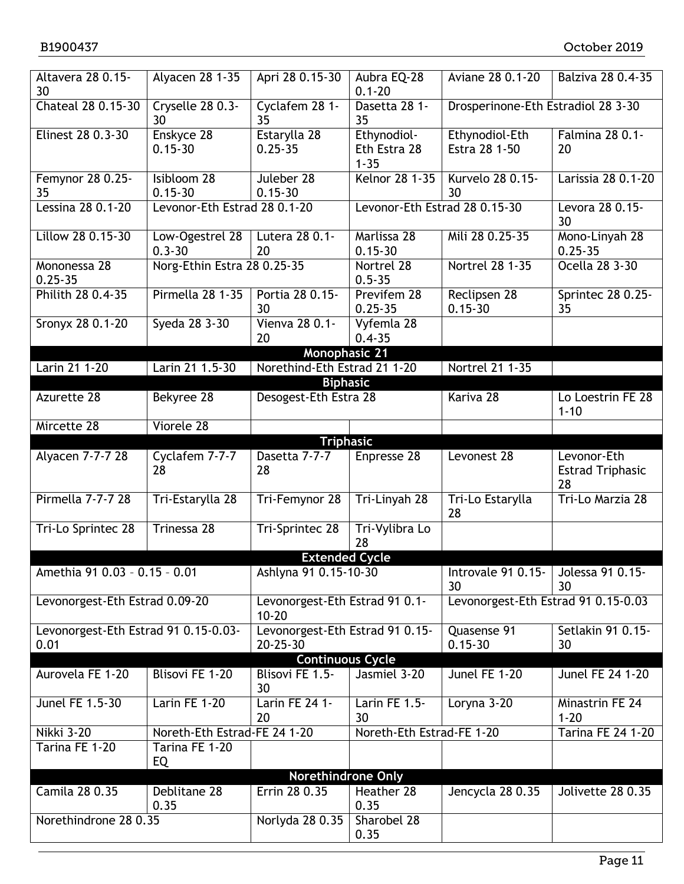| Altavera 28 0.15-<br>30                      | Alyacen 28 1-35               | Apri 28 0.15-30                                 | Aubra EQ-28<br>$0.1 - 20$               | Aviane 28 0.1-20                    | Balziva 28 0.4-35                            |
|----------------------------------------------|-------------------------------|-------------------------------------------------|-----------------------------------------|-------------------------------------|----------------------------------------------|
| Chateal 28 0.15-30                           | Cryselle 28 0.3-<br>30        | Cyclafem 28 1-<br>35                            | Dasetta 28 1-<br>35                     | Drosperinone-Eth Estradiol 28 3-30  |                                              |
| Elinest 28 0.3-30                            | Enskyce 28<br>$0.15 - 30$     | Estarylla 28<br>$0.25 - 35$                     | Ethynodiol-<br>Eth Estra 28<br>$1 - 35$ | Ethynodiol-Eth<br>Estra 28 1-50     | Falmina 28 0.1-<br>20                        |
| Femynor 28 0.25-<br>35                       | Isibloom 28<br>$0.15 - 30$    | Juleber 28<br>$0.15 - 30$                       | <b>Kelnor 28 1-35</b>                   | Kurvelo 28 0.15-<br>30              | Larissia 28 0.1-20                           |
| Lessina 28 0.1-20                            | Levonor-Eth Estrad 28 0.1-20  |                                                 | Levonor-Eth Estrad 28 0.15-30           |                                     | Levora 28 0.15-<br>30                        |
| Lillow 28 0.15-30                            | Low-Ogestrel 28<br>$0.3 - 30$ | Lutera 28 0.1-<br>20                            | Marlissa 28<br>$0.15 - 30$              | Mili 28 0.25-35                     | Mono-Linyah 28<br>$0.25 - 35$                |
| Mononessa 28<br>$0.25 - 35$                  | Norg-Ethin Estra 28 0.25-35   |                                                 | Nortrel 28<br>$0.5 - 35$                | <b>Nortrel 28 1-35</b>              | Ocella 28 3-30                               |
| Philith 28 0.4-35                            | Pirmella 28 1-35              | Portia 28 0.15-<br>30                           | Previfem 28<br>$0.25 - 35$              | Reclipsen 28<br>$0.15 - 30$         | Sprintec 28 0.25-<br>35                      |
| Sronyx 28 0.1-20                             | Syeda 28 3-30                 | Vienva 28 0.1-<br>20                            | Vyfemla 28<br>$0.4 - 35$                |                                     |                                              |
|                                              |                               | Monophasic 21                                   |                                         |                                     |                                              |
| Larin 21 1-20                                | Larin 21 1.5-30               | Norethind-Eth Estrad 21 1-20<br><b>Biphasic</b> |                                         | Nortrel 21 1-35                     |                                              |
| Azurette 28                                  |                               | Desogest-Eth Estra 28                           |                                         | Kariva 28                           |                                              |
|                                              | Bekyree 28                    |                                                 |                                         |                                     | Lo Loestrin FE 28<br>$1 - 10$                |
| Mircette 28                                  | Viorele 28                    |                                                 |                                         |                                     |                                              |
|                                              |                               | <b>Triphasic</b>                                |                                         |                                     |                                              |
| Alyacen 7-7-7 28                             | Cyclafem 7-7-7<br>28          | Dasetta 7-7-7<br>28                             | Enpresse 28                             | Levonest 28                         | Levonor-Eth<br><b>Estrad Triphasic</b><br>28 |
| Pirmella 7-7-7 28                            | Tri-Estarylla 28              | Tri-Femynor 28                                  | Tri-Linyah 28                           | Tri-Lo Estarylla<br>28              | Tri-Lo Marzia 28                             |
| Tri-Lo Sprintec 28                           | <b>Trinessa 28</b>            | Tri-Sprintec 28                                 | Tri-Vylibra Lo<br>28                    |                                     |                                              |
|                                              |                               | <b>Extended Cycle</b>                           |                                         |                                     |                                              |
| Amethia 91 0.03 - 0.15 - 0.01                |                               | Ashlyna 91 0.15-10-30                           |                                         | Introvale 91 0.15-<br>30            | Jolessa 91 0.15-<br>30                       |
| Levonorgest-Eth Estrad 0.09-20               |                               | Levonorgest-Eth Estrad 91 0.1-<br>$10 - 20$     |                                         | Levonorgest-Eth Estrad 91 0.15-0.03 |                                              |
| Levonorgest-Eth Estrad 91 0.15-0.03-<br>0.01 |                               | Levonorgest-Eth Estrad 91 0.15-<br>20-25-30     |                                         | Quasense 91<br>$0.15 - 30$          | Setlakin 91 0.15-<br>30                      |
|                                              |                               | <b>Continuous Cycle</b>                         |                                         |                                     |                                              |
| Aurovela FE 1-20                             | Blisovi FE 1-20               | Blisovi FE 1.5-<br>30                           | Jasmiel 3-20                            | Junel FE 1-20                       | <b>Junel FE 24 1-20</b>                      |
| Junel FE 1.5-30                              | Larin FE 1-20                 | Larin FE 24 1-<br>20                            | Larin FE 1.5-<br>30                     | Loryna 3-20                         | Minastrin FE 24<br>$1 - 20$                  |
| <b>Nikki 3-20</b>                            | Noreth-Eth Estrad-FE 24 1-20  |                                                 | Noreth-Eth Estrad-FE 1-20               |                                     | <b>Tarina FE 24 1-20</b>                     |
| Tarina FE 1-20                               | Tarina FE 1-20<br>EQ          |                                                 |                                         |                                     |                                              |
|                                              |                               | <b>Norethindrone Only</b>                       |                                         |                                     |                                              |
| Camila 28 0.35                               | Deblitane 28<br>0.35          | Errin 28 0.35                                   | Heather 28<br>0.35                      | Jencycla 28 0.35                    | Jolivette 28 0.35                            |
| Norethindrone 28 0.35                        |                               | Norlyda 28 0.35                                 | Sharobel 28<br>0.35                     |                                     |                                              |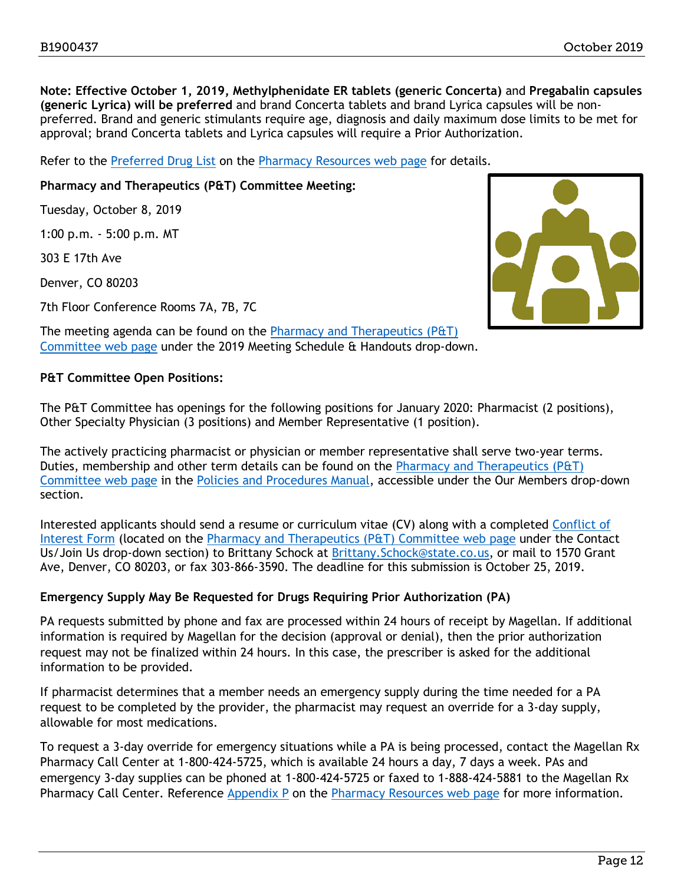**Note: Effective October 1, 2019, Methylphenidate ER tablets (generic Concerta)** and **Pregabalin capsules (generic Lyrica) will be preferred** and brand Concerta tablets and brand Lyrica capsules will be nonpreferred. Brand and generic stimulants require age, diagnosis and daily maximum dose limits to be met for approval; brand Concerta tablets and Lyrica capsules will require a Prior Authorization.

Refer to the [Preferred Drug List](https://www.colorado.gov/pacific/sites/default/files/10-1-19%20PDL%20final_V3.pdf) on the [Pharmacy Resources web page](https://www.colorado.gov/hcpf/pharmacy-resources) for details.

**Pharmacy and Therapeutics (P&T) Committee Meeting:** 

Tuesday, October 8, 2019

1:00 p.m. - 5:00 p.m. MT

303 E 17th Ave

Denver, CO 80203

7th Floor Conference Rooms 7A, 7B, 7C



The meeting agenda can be found on the [Pharmacy and Therapeutics \(P&T\)](https://www.colorado.gov/pacific/hcpf/pharmacy-and-therapeutics-committee)  [Committee web page](https://www.colorado.gov/pacific/hcpf/pharmacy-and-therapeutics-committee) under the 2019 Meeting Schedule & Handouts drop-down.

#### **P&T Committee Open Positions:**

The P&T Committee has openings for the following positions for January 2020: Pharmacist (2 positions), Other Specialty Physician (3 positions) and Member Representative (1 position).

The actively practicing pharmacist or physician or member representative shall serve two-year terms. Duties, membership and other term details can be found on the [Pharmacy and Therapeutics \(P&T\)](https://www.colorado.gov/pacific/hcpf/pharmacy-and-therapeutics-committee)  [Committee web page](https://www.colorado.gov/pacific/hcpf/pharmacy-and-therapeutics-committee) in the [Policies and Procedures Manual,](https://www.colorado.gov/pacific/sites/default/files/PT%20committee%20Policy_Policy%20and%20Procedures_Jan2019.pdf) accessible under the Our Members drop-down section.

Interested applicants should send a resume or curriculum vitae (CV) along with a completed [Conflict of](https://www.colorado.gov/pacific/sites/default/files/PT%20Conflict%20of%20interest%20form%20Sept19.pdf)  [Interest Form](https://www.colorado.gov/pacific/sites/default/files/PT%20Conflict%20of%20interest%20form%20Sept19.pdf) (located on the [Pharmacy and Therapeutics \(P&T\) Committee web page](https://www.colorado.gov/pacific/hcpf/pharmacy-and-therapeutics-committee) under the Contact Us/Join Us drop-down section) to Brittany Schock at Brittany. Schock@state.co.us, or mail to 1570 Grant Ave, Denver, CO 80203, or fax 303-866-3590. The deadline for this submission is October 25, 2019.

#### **Emergency Supply May Be Requested for Drugs Requiring Prior Authorization (PA)**

PA requests submitted by phone and fax are processed within 24 hours of receipt by Magellan. If additional information is required by Magellan for the decision (approval or denial), then the prior authorization request may not be finalized within 24 hours. In this case, the prescriber is asked for the additional information to be provided.

If pharmacist determines that a member needs an emergency supply during the time needed for a PA request to be completed by the provider, the pharmacist may request an override for a 3-day supply, allowable for most medications.

To request a 3-day override for emergency situations while a PA is being processed, contact the Magellan Rx Pharmacy Call Center at 1-800-424-5725, which is available 24 hours a day, 7 days a week. PAs and emergency 3-day supplies can be phoned at 1-800-424-5725 or faxed to 1-888-424-5881 to the Magellan Rx Pharmacy Call Center. Reference [Appendix P](https://www.colorado.gov/pacific/sites/default/files/Appendix%20P%2010.01.19%20V6.pdf) on the [Pharmacy Resources web page](https://www.colorado.gov/hcpf/pharmacy-resources) for more information.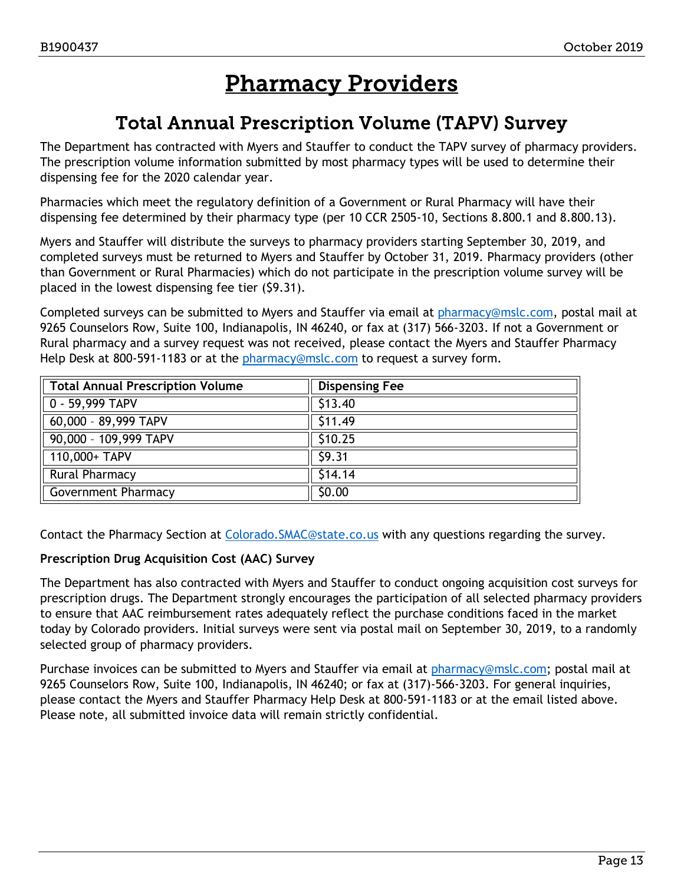## Pharmacy Providers

### Total Annual Prescription Volume (TAPV) Survey

<span id="page-12-1"></span><span id="page-12-0"></span>The Department has contracted with Myers and Stauffer to conduct the TAPV survey of pharmacy providers. The prescription volume information submitted by most pharmacy types will be used to determine their dispensing fee for the 2020 calendar year.

Pharmacies which meet the regulatory definition of a Government or Rural Pharmacy will have their dispensing fee determined by their pharmacy type (per 10 CCR 2505-10, Sections 8.800.1 and 8.800.13).

Myers and Stauffer will distribute the surveys to pharmacy providers starting September 30, 2019, and completed surveys must be returned to Myers and Stauffer by October 31, 2019. Pharmacy providers (other than Government or Rural Pharmacies) which do not participate in the prescription volume survey will be placed in the lowest dispensing fee tier (\$9.31).

Completed surveys can be submitted to Myers and Stauffer via email at [pharmacy@mslc.com,](mailto:pharmacy@mslc.com) postal mail at 9265 Counselors Row, Suite 100, Indianapolis, IN 46240, or fax at (317) 566-3203. If not a Government or Rural pharmacy and a survey request was not received, please contact the Myers and Stauffer Pharmacy Help Desk at 800-591-1183 or at the [pharmacy@mslc.com](mailto:pharmacy@mslc.com) to request a survey form.

| Total Annual Prescription Volume | <b>Dispensing Fee</b> |  |
|----------------------------------|-----------------------|--|
| $0 - 59,999$ TAPV                | \$13.40               |  |
| $60,000 - 89,999$ TAPV           | \$11.49               |  |
| $90,000 - 109,999$ TAPV          | \$10.25               |  |
| 110,000+ TAPV                    | 59.31                 |  |
| <b>Rural Pharmacy</b>            | \$14.14               |  |
| Government Pharmacy              | \$0.00                |  |

Contact the Pharmacy Section at [Colorado.SMAC@state.co.us](mailto:Colorado.SMAC@state.co.us) with any questions regarding the survey.

#### **Prescription Drug Acquisition Cost (AAC) Survey**

The Department has also contracted with Myers and Stauffer to conduct ongoing acquisition cost surveys for prescription drugs. The Department strongly encourages the participation of all selected pharmacy providers to ensure that AAC reimbursement rates adequately reflect the purchase conditions faced in the market today by Colorado providers. Initial surveys were sent via postal mail on September 30, 2019, to a randomly selected group of pharmacy providers.

Purchase invoices can be submitted to Myers and Stauffer via email at [pharmacy@mslc.com;](mailto:pharmacy@mslc.com) postal mail at 9265 Counselors Row, Suite 100, Indianapolis, IN 46240; or fax at (317)-566-3203. For general inquiries, please contact the Myers and Stauffer Pharmacy Help Desk at 800-591-1183 or at the email listed above. Please note, all submitted invoice data will remain strictly confidential.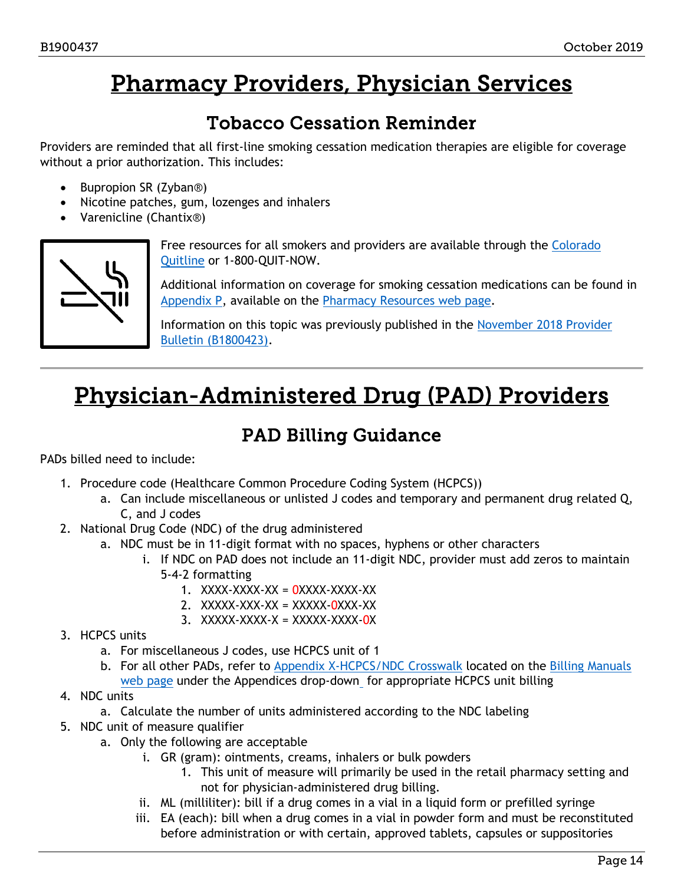## Pharmacy Providers, Physician Services

### Tobacco Cessation Reminder

<span id="page-13-2"></span><span id="page-13-0"></span>Providers are reminded that all first-line smoking cessation medication therapies are eligible for coverage without a prior authorization. This includes:

- Bupropion SR (Zyban®)
- Nicotine patches, gum, lozenges and inhalers
- Varenicline (Chantix®)



Free resources for all smokers and providers are available through the Colorado [Quitline](http://www.coquitline.org/) or 1-800-QUIT-NOW.

Additional information on coverage for smoking cessation medications can be found in [Appendix P,](https://www.colorado.gov/pacific/sites/default/files/Appendix%20P%2010.01.19%20V6.pdf) available on the [Pharmacy Resources web page.](https://www.colorado.gov/hcpf/pharmacy-resources)

Information on this topic was previously published in the [November 2018 Provider](https://www.colorado.gov/pacific/sites/default/files/Bulletin_1118_B1800423.pdf)  [Bulletin \(B1800423\).](https://www.colorado.gov/pacific/sites/default/files/Bulletin_1118_B1800423.pdf)

## <span id="page-13-3"></span>Physician-Administered Drug (PAD) Providers

### PAD Billing Guidance

<span id="page-13-1"></span>PADs billed need to include:

- 1. Procedure code (Healthcare Common Procedure Coding System (HCPCS))
	- a. Can include miscellaneous or unlisted J codes and temporary and permanent drug related Q, C, and J codes
- 2. National Drug Code (NDC) of the drug administered
	- a. NDC must be in 11-digit format with no spaces, hyphens or other characters
		- i. If NDC on PAD does not include an 11-digit NDC, provider must add zeros to maintain 5-4-2 formatting
			- 1.  $XXX-XXX-XX = 0XXX-XXX-XXX-XX$
			- 2.  $XXXXX-XXX-XX = XXXXX-0XXX-XX$
			- 3.  $XXXX-XXXX-X = XXXXX-XXXX-0X$
- 3. HCPCS units
	- a. For miscellaneous J codes, use HCPCS unit of 1
	- b. For all other PADs, refer to [Appendix X-HCPCS/NDC Crosswalk](https://www.colorado.gov/pacific/sites/default/files/Appendix%20X-HCPCS-NDC_Crosswalk%20081619.pdf) located on the Billing Manuals [web page](https://www.colorado.gov/hcpf/billing-manuals) under the Appendices drop-down for appropriate HCPCS unit billing
- 4. NDC units
	- a. Calculate the number of units administered according to the NDC labeling
- 5. NDC unit of measure qualifier
	- a. Only the following are acceptable
		- i. GR (gram): ointments, creams, inhalers or bulk powders
			- 1. This unit of measure will primarily be used in the retail pharmacy setting and not for physician-administered drug billing.
		- ii. ML (milliliter): bill if a drug comes in a vial in a liquid form or prefilled syringe
		- iii. EA (each): bill when a drug comes in a vial in powder form and must be reconstituted before administration or with certain, approved tablets, capsules or suppositories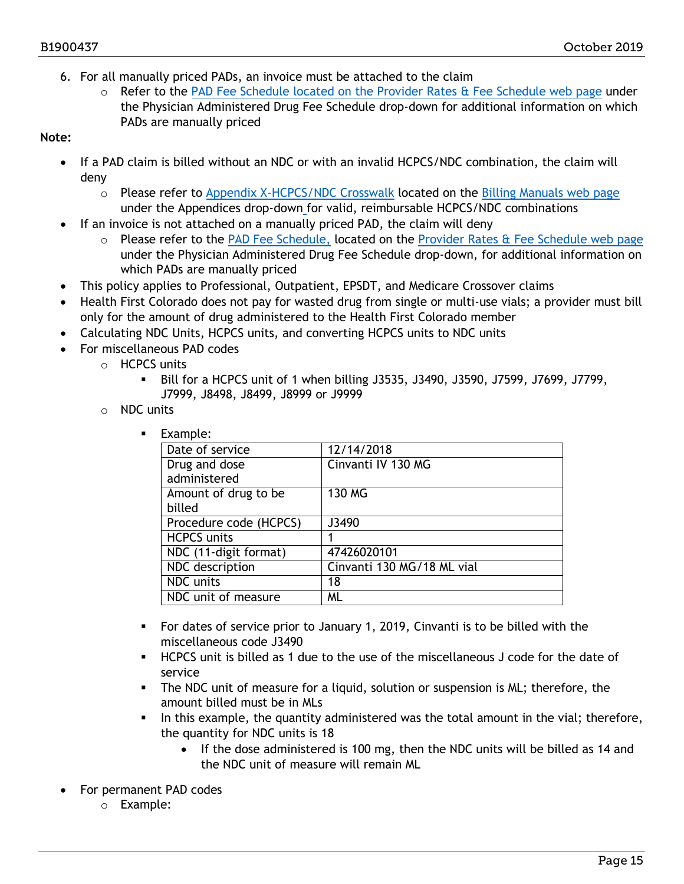- 6. For all manually priced PADs, an invoice must be attached to the claim
	- o Refer to the [PAD Fee Schedule](https://www.colorado.gov/hcpf/provider-rates-fee-schedule) located on the [Provider Rates & Fee Schedule web page](https://www.colorado.gov/hcpf/provider-rates-fee-schedule) under the Physician Administered Drug Fee Schedule drop-down for additional information on which PADs are manually priced

#### **Note:**

- If a PAD claim is billed without an NDC or with an invalid HCPCS/NDC combination, the claim will deny
	- $\circ$  Please refer to [Appendix X-HCPCS/NDC Crosswalk](https://www.colorado.gov/pacific/sites/default/files/Appendix%20X-HCPCS-NDC_Crosswalk%20081619.pdf) located on the [Billing Manuals web page](https://www.colorado.gov/hcpf/billing-manuals) under the Appendices drop-down for valid, reimbursable HCPCS/NDC combinations
- If an invoice is not attached on a manually priced PAD, the claim will deny
	- o Please refer to the [PAD Fee Schedule,](https://www.colorado.gov/hcpf/provider-rates-fee-schedule) located on the [Provider Rates & Fee Schedule web page](https://www.colorado.gov/hcpf/provider-rates-fee-schedule) under the Physician Administered Drug Fee Schedule drop-down, for additional information on which PADs are manually priced
- This policy applies to Professional, Outpatient, EPSDT, and Medicare Crossover claims
- Health First Colorado does not pay for wasted drug from single or multi-use vials; a provider must bill only for the amount of drug administered to the Health First Colorado member
- Calculating NDC Units, HCPCS units, and converting HCPCS units to NDC units
- For miscellaneous PAD codes
	- $\circ$  HCPCS units
		- Bill for a HCPCS unit of 1 when billing J3535, J3490, J3590, J7599, J7699, J7799, J7999, J8498, J8499, J8999 or J9999
		- o NDC units
			- **Example:**

| Date of service        | 12/14/2018                 |
|------------------------|----------------------------|
| Drug and dose          | Cinvanti IV 130 MG         |
| administered           |                            |
| Amount of drug to be   | 130 MG                     |
| billed                 |                            |
| Procedure code (HCPCS) | J3490                      |
| <b>HCPCS</b> units     |                            |
| NDC (11-digit format)  | 47426020101                |
| NDC description        | Cinvanti 130 MG/18 ML vial |
| <b>NDC</b> units       | 18                         |
| NDC unit of measure    | <b>ML</b>                  |

- For dates of service prior to January 1, 2019, Cinvanti is to be billed with the miscellaneous code J3490
- HCPCS unit is billed as 1 due to the use of the miscellaneous J code for the date of service
- The NDC unit of measure for a liquid, solution or suspension is ML; therefore, the amount billed must be in MLs
- In this example, the quantity administered was the total amount in the vial; therefore, the quantity for NDC units is 18
	- If the dose administered is 100 mg, then the NDC units will be billed as 14 and the NDC unit of measure will remain ML
- For permanent PAD codes
	- o Example: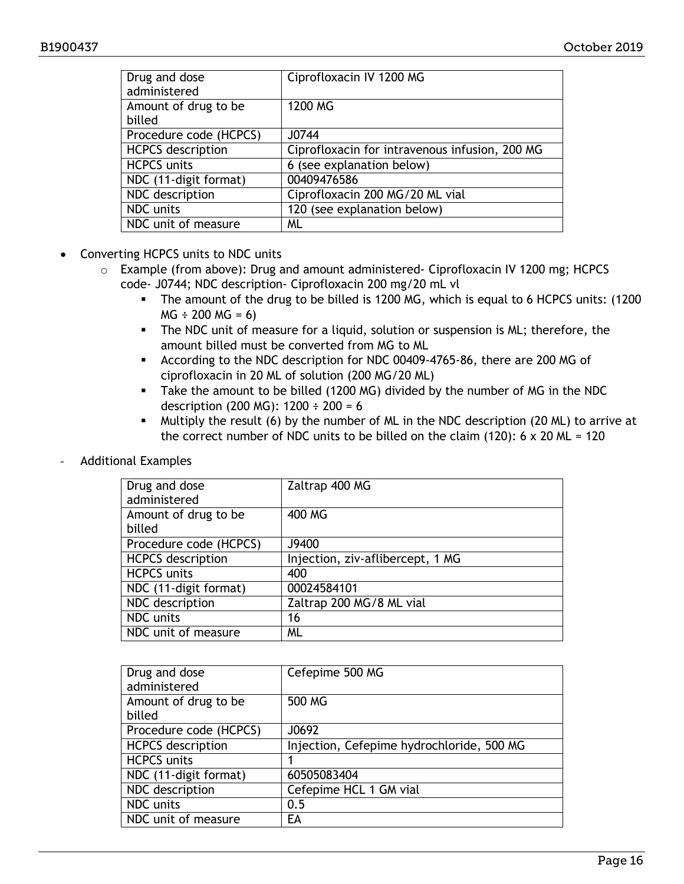| Drug and dose<br>administered | Ciprofloxacin IV 1200 MG                       |
|-------------------------------|------------------------------------------------|
| Amount of drug to be          | 1200 MG                                        |
| billed                        |                                                |
| Procedure code (HCPCS)        | J0744                                          |
| <b>HCPCS</b> description      | Ciprofloxacin for intravenous infusion, 200 MG |
| <b>HCPCS units</b>            | 6 (see explanation below)                      |
| NDC (11-digit format)         | 00409476586                                    |
| NDC description               | Ciprofloxacin 200 MG/20 ML vial                |
| <b>NDC</b> units              | 120 (see explanation below)                    |
| NDC unit of measure           | ML                                             |

- Converting HCPCS units to NDC units
	- o Example (from above): Drug and amount administered- Ciprofloxacin IV 1200 mg; HCPCS code- J0744; NDC description- Ciprofloxacin 200 mg/20 mL vl
		- The amount of the drug to be billed is 1200 MG, which is equal to 6 HCPCS units: (1200  $MG \div 200 MG = 6$
		- The NDC unit of measure for a liquid, solution or suspension is ML; therefore, the amount billed must be converted from MG to ML
		- According to the NDC description for NDC 00409-4765-86, there are 200 MG of ciprofloxacin in 20 ML of solution (200 MG/20 ML)
		- Take the amount to be billed (1200 MG) divided by the number of MG in the NDC description (200 MG): 1200 ÷ 200 = 6
		- Multiply the result (6) by the number of ML in the NDC description (20 ML) to arrive at the correct number of NDC units to be billed on the claim (120):  $6 \times 20$  ML = 120
- Additional Examples

| Drug and dose            | Zaltrap 400 MG                   |
|--------------------------|----------------------------------|
| administered             |                                  |
| Amount of drug to be     | 400 MG                           |
| billed                   |                                  |
| Procedure code (HCPCS)   | J9400                            |
| <b>HCPCS</b> description | Injection, ziv-aflibercept, 1 MG |
| <b>HCPCS units</b>       | 400                              |
| NDC (11-digit format)    | 00024584101                      |
| NDC description          | Zaltrap 200 MG/8 ML vial         |
| NDC units                | 16                               |
| NDC unit of measure      | <b>ML</b>                        |

| Drug and dose<br>administered | Cefepime 500 MG                           |
|-------------------------------|-------------------------------------------|
| Amount of drug to be          | 500 MG                                    |
| billed                        |                                           |
| Procedure code (HCPCS)        | J0692                                     |
| <b>HCPCS</b> description      | Injection, Cefepime hydrochloride, 500 MG |
| <b>HCPCS</b> units            |                                           |
| NDC (11-digit format)         | 60505083404                               |
| NDC description               | Cefepime HCL 1 GM vial                    |
| NDC units                     | 0.5                                       |
| NDC unit of measure           | EA                                        |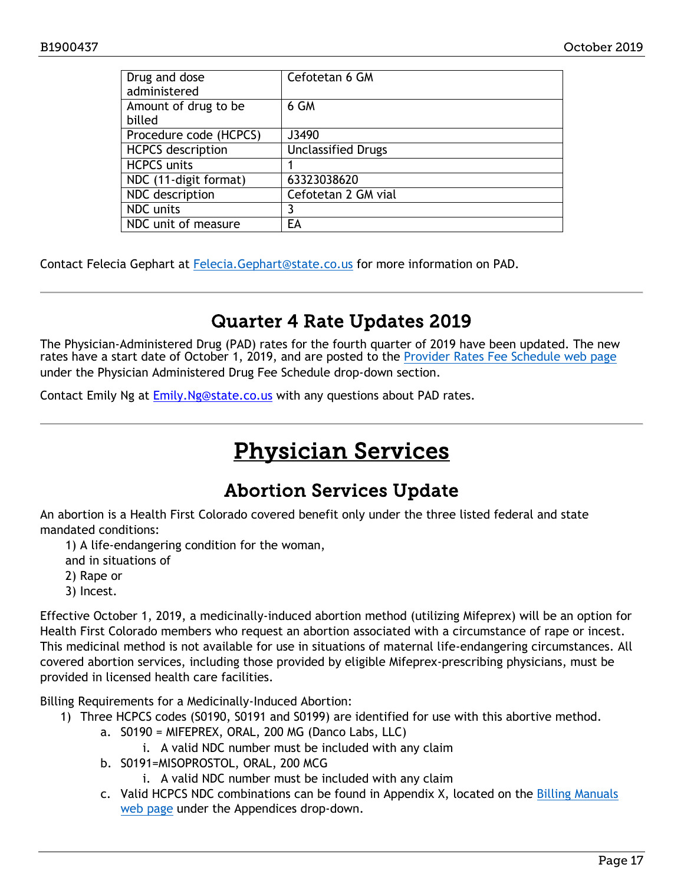| Drug and dose<br>administered  | Cefotetan 6 GM            |
|--------------------------------|---------------------------|
| Amount of drug to be<br>billed | 6 GM                      |
| Procedure code (HCPCS)         | J3490                     |
| <b>HCPCS</b> description       | <b>Unclassified Drugs</b> |
| <b>HCPCS units</b>             |                           |
| NDC (11-digit format)          | 63323038620               |
| NDC description                | Cefotetan 2 GM vial       |
| <b>NDC</b> units               |                           |
| NDC unit of measure            | EA                        |

Contact Felecia Gephart at [Felecia.Gephart@state.co.us](mailto:Felecia.Gephart@state.co.us) for more information on PAD.

### Quarter 4 Rate Updates 2019

<span id="page-16-0"></span>The Physician-Administered Drug (PAD) rates for the fourth quarter of 2019 have been updated. The new rates have a start date of October 1, 2019, and are posted to the [Provider Rates Fee Schedule web page](https://www.colorado.gov/pacific/hcpf/provider-rates-fee-schedule) under the Physician Administered Drug Fee Schedule drop-down section.

<span id="page-16-2"></span>Contact Emily Ng at Emily.Ng@state.co.us with any questions about PAD rates.

## Physician Services

### Abortion Services Update

<span id="page-16-1"></span>An abortion is a Health First Colorado covered benefit only under the three listed federal and state mandated conditions:

1) A life-endangering condition for the woman,

and in situations of

- 2) Rape or
- 3) Incest.

Effective October 1, 2019, a medicinally-induced abortion method (utilizing Mifeprex) will be an option for Health First Colorado members who request an abortion associated with a circumstance of rape or incest. This medicinal method is not available for use in situations of maternal life-endangering circumstances. All covered abortion services, including those provided by eligible Mifeprex-prescribing physicians, must be provided in licensed health care facilities.

Billing Requirements for a Medicinally-Induced Abortion:

- 1) Three HCPCS codes (S0190, S0191 and S0199) are identified for use with this abortive method.
	- a. S0190 = MIFEPREX, ORAL, 200 MG (Danco Labs, LLC)
		- i. A valid NDC number must be included with any claim
	- b. S0191=MISOPROSTOL, ORAL, 200 MCG
		- i. A valid NDC number must be included with any claim
	- c. Valid HCPCS NDC combinations can be found in Appendix X, located on the [Billing Manuals](https://www.colorado.gov/hcpf/billing-manuals)  [web page](https://www.colorado.gov/hcpf/billing-manuals) under the Appendices drop-down.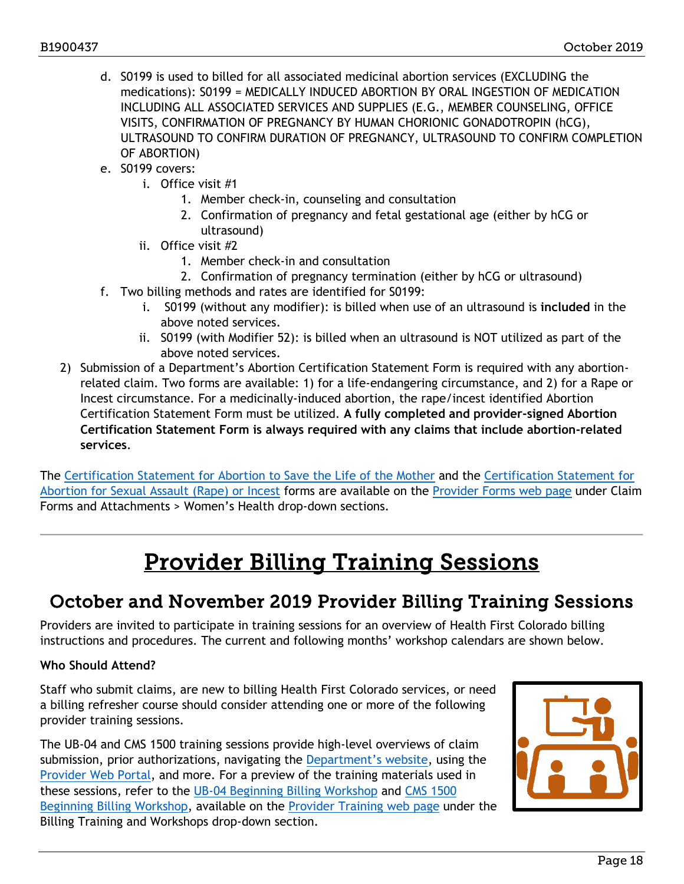- d. S0199 is used to billed for all associated medicinal abortion services (EXCLUDING the medications): S0199 = MEDICALLY INDUCED ABORTION BY ORAL INGESTION OF MEDICATION INCLUDING ALL ASSOCIATED SERVICES AND SUPPLIES (E.G., MEMBER COUNSELING, OFFICE VISITS, CONFIRMATION OF PREGNANCY BY HUMAN CHORIONIC GONADOTROPIN (hCG), ULTRASOUND TO CONFIRM DURATION OF PREGNANCY, ULTRASOUND TO CONFIRM COMPLETION OF ABORTION)
- e. S0199 covers:
	- i. Office visit #1
		- 1. Member check-in, counseling and consultation
		- 2. Confirmation of pregnancy and fetal gestational age (either by hCG or ultrasound)
	- ii. Office visit #2
		- 1. Member check-in and consultation
		- 2. Confirmation of pregnancy termination (either by hCG or ultrasound)
- f. Two billing methods and rates are identified for S0199:
	- i. S0199 (without any modifier): is billed when use of an ultrasound is **included** in the above noted services.
	- ii. S0199 (with Modifier 52): is billed when an ultrasound is NOT utilized as part of the above noted services.
- 2) Submission of a Department's Abortion Certification Statement Form is required with any abortionrelated claim. Two forms are available: 1) for a life-endangering circumstance, and 2) for a Rape or Incest circumstance. For a medicinally-induced abortion, the rape/incest identified Abortion Certification Statement Form must be utilized. **A fully completed and provider-signed Abortion Certification Statement Form is always required with any claims that include abortion-related services**.

The [Certification Statement for Abortion to Save the Life of the Mother](https://www.colorado.gov/pacific/sites/default/files/Abortion-Life_of_Mother_Final.pdf) and the [Certification Statement for](https://www.colorado.gov/pacific/sites/default/files/Abortion-Assault_Incest_Mifeprex.pdf)  [Abortion for Sexual Assault \(Rape\) or Incest](https://www.colorado.gov/pacific/sites/default/files/Abortion-Assault_Incest_Mifeprex.pdf) forms are available on [the Provider Forms web page](https://www.colorado.gov/hcpf/provider-forms) under Claim Forms and Attachments > Women's Health drop-down sections.

## Provider Billing Training Sessions

### <span id="page-17-1"></span><span id="page-17-0"></span>October and November 2019 Provider Billing Training Sessions

Providers are invited to participate in training sessions for an overview of Health First Colorado billing instructions and procedures. The current and following months' workshop calendars are shown below.

#### **Who Should Attend?**

Staff who submit claims, are new to billing Health First Colorado services, or need a billing refresher course should consider attending one or more of the following provider training sessions.

The UB-04 and CMS 1500 training sessions provide high-level overviews of claim submission, prior authorizations, navigating the [Department's website,](https://www.colorado.gov/hcpf/) using the [Provider Web Portal,](https://colorado-hcp-portal.xco.dcs-usps.com/hcp/provider/Home/tabid/135/Default.aspx) and more. For a preview of the training materials used in these sessions, refer to the [UB-04 Beginning](https://www.colorado.gov/pacific/sites/default/files/UB-04%20Beginning%20Billing%20Provider%20Workshop%20v1.8.1.pdf) Billing Workshop and CMS 1500 [Beginning Billing Workshop,](https://www.colorado.gov/pacific/sites/default/files/CMS%201500%20Beginning%20Billing%20Provider%20Workshop%20v1.9.1.pdf) available on the [Provider Training web page](https://www.colorado.gov/pacific/hcpf/provider-training) under the Billing Training and Workshops drop-down section.

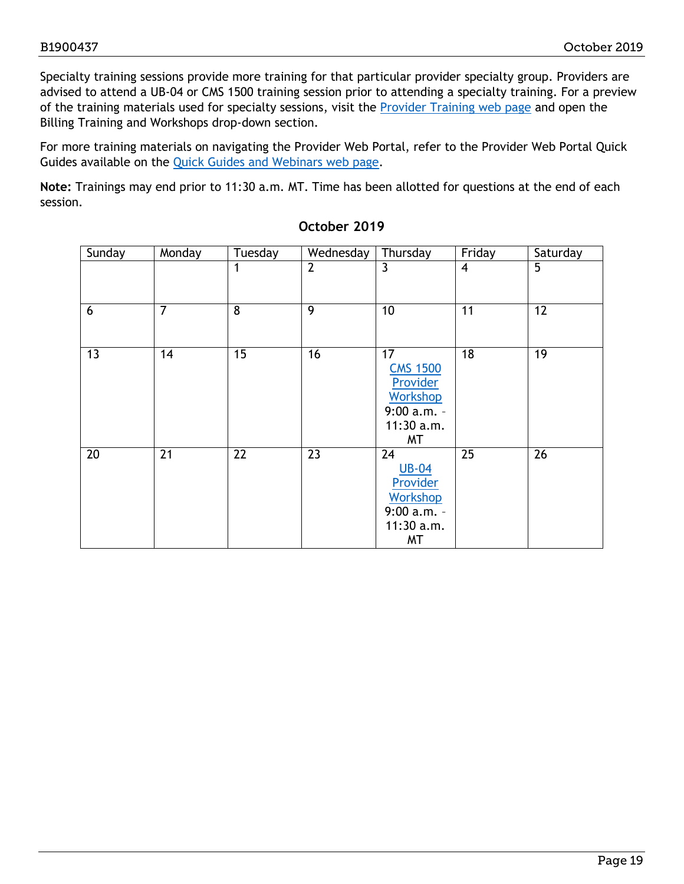Specialty training sessions provide more training for that particular provider specialty group. Providers are advised to attend a UB-04 or CMS 1500 training session prior to attending a specialty training. For a preview of the training materials used for specialty sessions, visit the [Provider Training web page](https://www.colorado.gov/pacific/hcpf/provider-training) and open the Billing Training and Workshops drop-down section.

For more training materials on navigating the Provider Web Portal, refer to the Provider Web Portal Quick Guides available on the [Quick Guides and Webinars web page.](https://www.colorado.gov/hcpf/interchange-resources)

**Note:** Trainings may end prior to 11:30 a.m. MT. Time has been allotted for questions at the end of each session.

| Sunday          | Monday         | Tuesday         | Wednesday       | Thursday                                                                                              | Friday          | Saturday        |
|-----------------|----------------|-----------------|-----------------|-------------------------------------------------------------------------------------------------------|-----------------|-----------------|
|                 |                | 1               | $\overline{2}$  | 3                                                                                                     | 4               | 5               |
| 6               | $\overline{7}$ | 8               | 9               | 10                                                                                                    | 11              | 12              |
| $\overline{13}$ | 14             | $\overline{15}$ | $\overline{16}$ | 17<br><b>CMS 1500</b><br>Provider<br><b>Workshop</b><br>$9:00 a.m. -$<br>$11:30$ a.m.<br>MT           | $\overline{18}$ | 19              |
| 20              | 21             | $\overline{22}$ | $\overline{23}$ | $\overline{24}$<br><b>UB-04</b><br>Provider<br><b>Workshop</b><br>$9:00 a.m. -$<br>$11:30$ a.m.<br>MT | $\overline{25}$ | $\overline{26}$ |

#### **October 2019**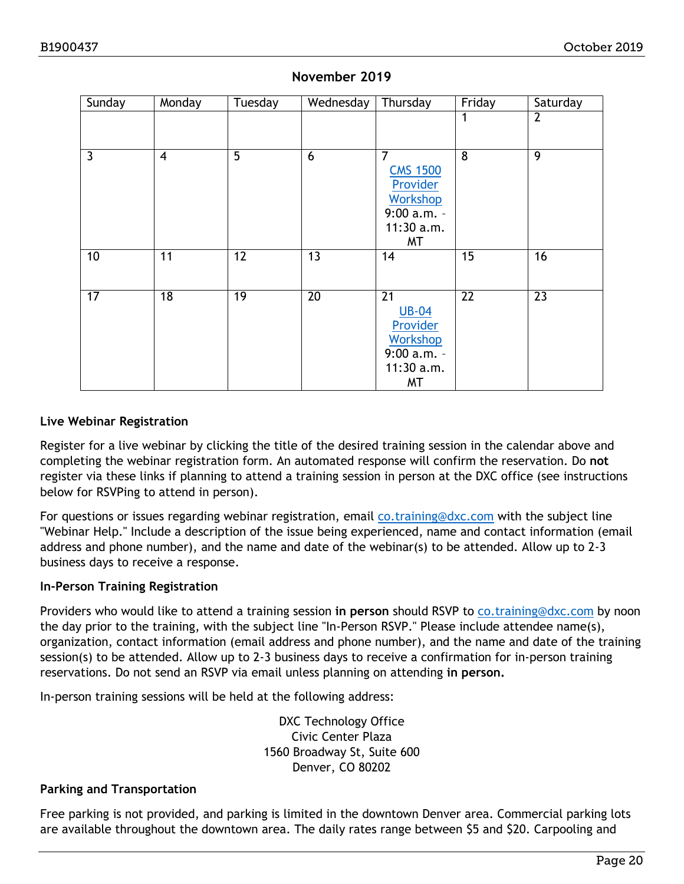| Sunday          | Monday          | Tuesday         | Wednesday       | Thursday                                                                                              | Friday          | Saturday        |
|-----------------|-----------------|-----------------|-----------------|-------------------------------------------------------------------------------------------------------|-----------------|-----------------|
|                 |                 |                 |                 |                                                                                                       | 1               | $\overline{2}$  |
| $\overline{3}$  | $\overline{4}$  | 5               | 6               | $\overline{7}$<br><b>CMS 1500</b><br>Provider<br><b>Workshop</b><br>$9:00 a.m. -$<br>11:30 a.m.<br>MT | 8               | 9               |
| 10              | 11              | $\overline{12}$ | $\overline{13}$ | 14                                                                                                    | $\overline{15}$ | 16              |
| $\overline{17}$ | $\overline{18}$ | 19              | $\overline{20}$ | $\overline{21}$<br><b>UB-04</b><br>Provider<br><b>Workshop</b><br>$9:00$ a.m. -<br>11:30 a.m.<br>MT   | $\overline{22}$ | $\overline{23}$ |

#### **November 2019**

#### **Live Webinar Registration**

Register for a live webinar by clicking the title of the desired training session in the calendar above and completing the webinar registration form. An automated response will confirm the reservation. Do **not** register via these links if planning to attend a training session in person at the DXC office (see instructions below for RSVPing to attend in person).

For questions or issues regarding webinar registration, email [co.training@dxc.com](mailto:co.training@dxc.com) with the subject line "Webinar Help." Include a description of the issue being experienced, name and contact information (email address and phone number), and the name and date of the webinar(s) to be attended. Allow up to 2-3 business days to receive a response.

#### **In-Person Training Registration**

Providers who would like to attend a training session **in person** should RSVP to [co.training@dxc.com](mailto:co.training@dxc.com) by noon the day prior to the training, with the subject line "In-Person RSVP." Please include attendee name(s), organization, contact information (email address and phone number), and the name and date of the training session(s) to be attended. Allow up to 2-3 business days to receive a confirmation for in-person training reservations. Do not send an RSVP via email unless planning on attending **in person.**

In-person training sessions will be held at the following address:

DXC Technology Office Civic Center Plaza 1560 Broadway St, Suite 600 Denver, CO 80202

#### **Parking and Transportation**

Free parking is not provided, and parking is limited in the downtown Denver area. Commercial parking lots are available throughout the downtown area. The daily rates range between \$5 and \$20. Carpooling and